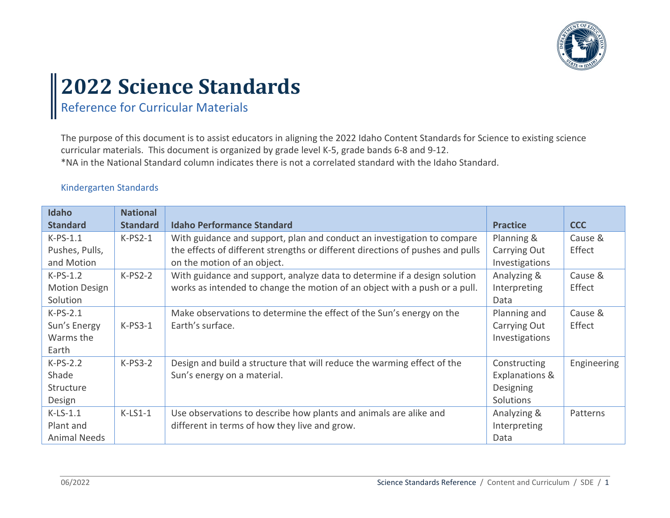

# **2022 Science Standards**

# Reference for Curricular Materials

The purpose of this document is to assist educators in aligning the 2022 Idaho Content Standards for Science to existing science curricular materials. This document is organized by grade level K-5, grade bands 6-8 and 9-12.

\*NA in the National Standard column indicates there is not a correlated standard with the Idaho Standard.

#### Kindergarten Standards

| <b>Idaho</b>         | <b>National</b> |                                                                                |                           |             |
|----------------------|-----------------|--------------------------------------------------------------------------------|---------------------------|-------------|
| <b>Standard</b>      | <b>Standard</b> | <b>Idaho Performance Standard</b>                                              | <b>Practice</b>           | <b>CCC</b>  |
| $K-PS-1.1$           | $K-PS2-1$       | With guidance and support, plan and conduct an investigation to compare        | Planning &                | Cause &     |
| Pushes, Pulls,       |                 | the effects of different strengths or different directions of pushes and pulls | Carrying Out              | Effect      |
| and Motion           |                 | on the motion of an object.                                                    | Investigations            |             |
| $K-PS-1.2$           | $K-PS2-2$       | With guidance and support, analyze data to determine if a design solution      | Analyzing &               | Cause &     |
| <b>Motion Design</b> |                 | works as intended to change the motion of an object with a push or a pull.     | Interpreting              | Effect      |
| Solution             |                 |                                                                                | Data                      |             |
| $K-PS-2.1$           |                 | Make observations to determine the effect of the Sun's energy on the           | Planning and              | Cause &     |
| Sun's Energy         | $K-PS3-1$       | Earth's surface.                                                               | Carrying Out              | Effect      |
| Warms the            |                 |                                                                                | Investigations            |             |
| Earth                |                 |                                                                                |                           |             |
| $K-PS-2.2$           | $K-PS3-2$       | Design and build a structure that will reduce the warming effect of the        | Constructing              | Engineering |
| Shade                |                 | Sun's energy on a material.                                                    | <b>Explanations &amp;</b> |             |
| Structure            |                 |                                                                                | Designing                 |             |
| Design               |                 |                                                                                | Solutions                 |             |
| $K-LS-1.1$           | $K-LS1-1$       | Use observations to describe how plants and animals are alike and              | Analyzing &               | Patterns    |
| Plant and            |                 | different in terms of how they live and grow.                                  | Interpreting              |             |
| <b>Animal Needs</b>  |                 |                                                                                | Data                      |             |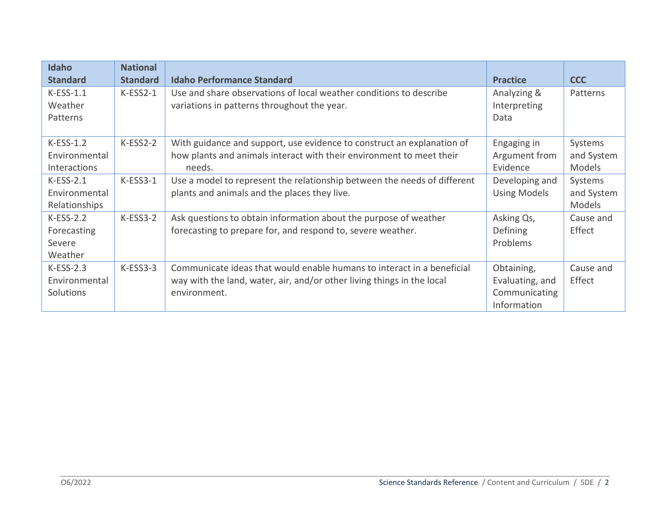| <b>Idaho</b><br><b>Standard</b> | <b>National</b><br><b>Standard</b> | <b>Idaho Performance Standard</b>                                        | <b>Practice</b>     | <b>CCC</b> |
|---------------------------------|------------------------------------|--------------------------------------------------------------------------|---------------------|------------|
|                                 |                                    |                                                                          |                     |            |
| $K-ESS-1.1$                     | $K-ESS2-1$                         | Use and share observations of local weather conditions to describe       | Analyzing &         | Patterns   |
| Weather                         |                                    | variations in patterns throughout the year.                              | Interpreting        |            |
| Patterns                        |                                    |                                                                          | Data                |            |
|                                 |                                    |                                                                          |                     |            |
| $K-ESS-1.2$                     | $K-ESS2-2$                         | With guidance and support, use evidence to construct an explanation of   | Engaging in         | Systems    |
| Environmental                   |                                    | how plants and animals interact with their environment to meet their     | Argument from       | and System |
| Interactions                    |                                    | needs.                                                                   | Evidence            | Models     |
| $K-ESS-2.1$                     | $K-ESS3-1$                         | Use a model to represent the relationship between the needs of different | Developing and      | Systems    |
| Environmental                   |                                    | plants and animals and the places they live.                             | <b>Using Models</b> | and System |
| Relationships                   |                                    |                                                                          |                     | Models     |
| $K-ESS-2.2$                     | $K-ESS3-2$                         | Ask questions to obtain information about the purpose of weather         | Asking Qs,          | Cause and  |
| Forecasting                     |                                    | forecasting to prepare for, and respond to, severe weather.              | <b>Defining</b>     | Effect     |
| Severe                          |                                    |                                                                          | Problems            |            |
| Weather                         |                                    |                                                                          |                     |            |
| $K-ESS-2.3$                     | $K-ESS3-3$                         | Communicate ideas that would enable humans to interact in a beneficial   | Obtaining,          | Cause and  |
| Environmental                   |                                    | way with the land, water, air, and/or other living things in the local   | Evaluating, and     | Effect     |
| Solutions                       |                                    | environment.                                                             | Communicating       |            |
|                                 |                                    |                                                                          | Information         |            |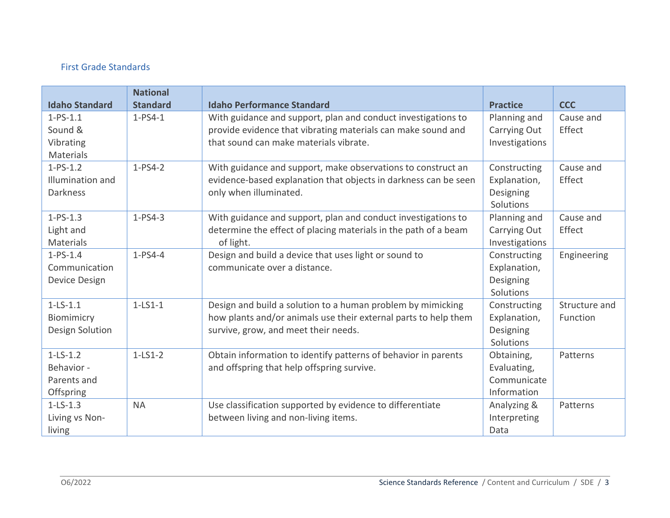## First Grade Standards

| <b>Idaho Standard</b> | <b>National</b><br><b>Standard</b> | <b>Idaho Performance Standard</b>                               | <b>Practice</b>     | <b>CCC</b>          |
|-----------------------|------------------------------------|-----------------------------------------------------------------|---------------------|---------------------|
| $1-PS-1.1$            | $1-PS4-1$                          |                                                                 |                     |                     |
| Sound &               |                                    | With guidance and support, plan and conduct investigations to   | Planning and        | Cause and<br>Effect |
|                       |                                    | provide evidence that vibrating materials can make sound and    | Carrying Out        |                     |
| Vibrating             |                                    | that sound can make materials vibrate.                          | Investigations      |                     |
| Materials             |                                    |                                                                 |                     |                     |
| $1-PS-1.2$            | $1-PS4-2$                          | With guidance and support, make observations to construct an    | Constructing        | Cause and           |
| Illumination and      |                                    | evidence-based explanation that objects in darkness can be seen | Explanation,        | Effect              |
| <b>Darkness</b>       |                                    | only when illuminated.                                          | Designing           |                     |
|                       |                                    |                                                                 | Solutions           |                     |
| $1-PS-1.3$            | $1-PS4-3$                          | With guidance and support, plan and conduct investigations to   | Planning and        | Cause and           |
| Light and             |                                    | determine the effect of placing materials in the path of a beam | <b>Carrying Out</b> | Effect              |
| Materials             |                                    | of light.                                                       | Investigations      |                     |
| $1-PS-1.4$            | $1-PS4-4$                          | Design and build a device that uses light or sound to           | Constructing        | Engineering         |
| Communication         |                                    | communicate over a distance.                                    | Explanation,        |                     |
| Device Design         |                                    |                                                                 | Designing           |                     |
|                       |                                    |                                                                 | Solutions           |                     |
| $1 - LS - 1.1$        | $1-LS1-1$                          | Design and build a solution to a human problem by mimicking     | Constructing        | Structure and       |
| Biomimicry            |                                    | how plants and/or animals use their external parts to help them | Explanation,        | Function            |
| Design Solution       |                                    | survive, grow, and meet their needs.                            | Designing           |                     |
|                       |                                    |                                                                 | Solutions           |                     |
| $1-LS-1.2$            | $1-LS1-2$                          | Obtain information to identify patterns of behavior in parents  | Obtaining,          | Patterns            |
| Behavior -            |                                    | and offspring that help offspring survive.                      | Evaluating,         |                     |
| Parents and           |                                    |                                                                 | Communicate         |                     |
| Offspring             |                                    |                                                                 | Information         |                     |
| $1-LS-1.3$            | <b>NA</b>                          | Use classification supported by evidence to differentiate       | Analyzing &         | Patterns            |
| Living vs Non-        |                                    | between living and non-living items.                            | Interpreting        |                     |
| living                |                                    |                                                                 | Data                |                     |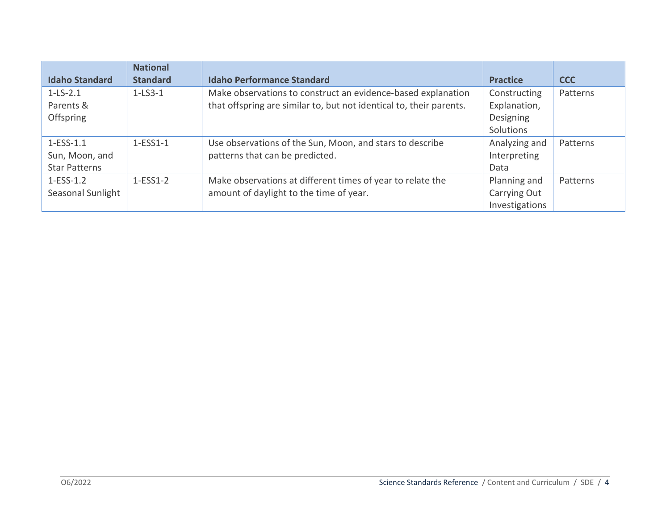|                       | <b>National</b> |                                                                     |                 |            |
|-----------------------|-----------------|---------------------------------------------------------------------|-----------------|------------|
| <b>Idaho Standard</b> | <b>Standard</b> | <b>Idaho Performance Standard</b>                                   | <b>Practice</b> | <b>CCC</b> |
| $1 - LS - 2.1$        | $1-LS3-1$       | Make observations to construct an evidence-based explanation        | Constructing    | Patterns   |
| Parents &             |                 | that offspring are similar to, but not identical to, their parents. | Explanation,    |            |
| Offspring             |                 |                                                                     | Designing       |            |
|                       |                 |                                                                     | Solutions       |            |
| $1-ESS-1.1$           | $1-ESS1-1$      | Use observations of the Sun, Moon, and stars to describe            | Analyzing and   | Patterns   |
| Sun, Moon, and        |                 | patterns that can be predicted.                                     | Interpreting    |            |
| <b>Star Patterns</b>  |                 |                                                                     | Data            |            |
| $1-ESS-1.2$           | $1-ESS1-2$      | Make observations at different times of year to relate the          | Planning and    | Patterns   |
| Seasonal Sunlight     |                 | amount of daylight to the time of year.                             | Carrying Out    |            |
|                       |                 |                                                                     | Investigations  |            |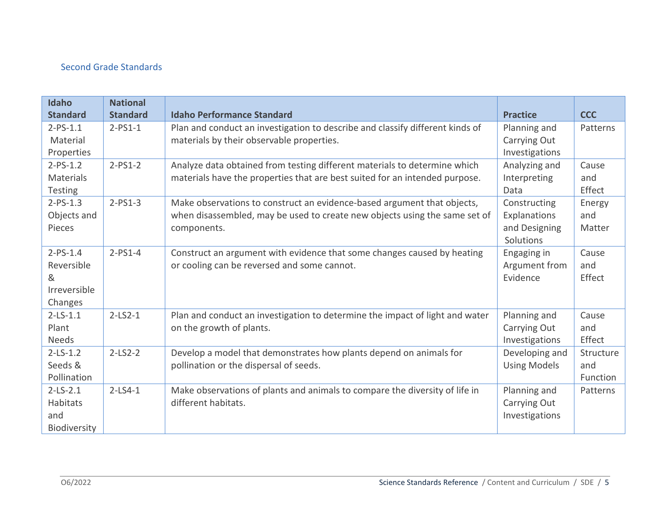## Second Grade Standards

| Idaho            | <b>National</b> |                                                                               |                     |            |
|------------------|-----------------|-------------------------------------------------------------------------------|---------------------|------------|
| <b>Standard</b>  | <b>Standard</b> | <b>Idaho Performance Standard</b>                                             | <b>Practice</b>     | <b>CCC</b> |
| $2-PS-1.1$       | $2-PS1-1$       | Plan and conduct an investigation to describe and classify different kinds of | Planning and        | Patterns   |
| Material         |                 | materials by their observable properties.                                     | Carrying Out        |            |
| Properties       |                 |                                                                               | Investigations      |            |
| $2-PS-1.2$       | $2-PS1-2$       | Analyze data obtained from testing different materials to determine which     | Analyzing and       | Cause      |
| <b>Materials</b> |                 | materials have the properties that are best suited for an intended purpose.   | Interpreting        | and        |
| <b>Testing</b>   |                 |                                                                               | Data                | Effect     |
| $2-PS-1.3$       | $2-PS1-3$       | Make observations to construct an evidence-based argument that objects,       | Constructing        | Energy     |
| Objects and      |                 | when disassembled, may be used to create new objects using the same set of    | Explanations        | and        |
| Pieces           |                 | components.                                                                   | and Designing       | Matter     |
|                  |                 |                                                                               | Solutions           |            |
| $2-PS-1.4$       | $2-PS1-4$       | Construct an argument with evidence that some changes caused by heating       | Engaging in         | Cause      |
| Reversible       |                 | or cooling can be reversed and some cannot.                                   | Argument from       | and        |
| &                |                 |                                                                               | Evidence            | Effect     |
| Irreversible     |                 |                                                                               |                     |            |
| Changes          |                 |                                                                               |                     |            |
| $2-LS-1.1$       | $2 - LS2 - 1$   | Plan and conduct an investigation to determine the impact of light and water  | Planning and        | Cause      |
| Plant            |                 | on the growth of plants.                                                      | Carrying Out        | and        |
| <b>Needs</b>     |                 |                                                                               | Investigations      | Effect     |
| $2-LS-1.2$       | $2-LS2-2$       | Develop a model that demonstrates how plants depend on animals for            | Developing and      | Structure  |
| Seeds &          |                 | pollination or the dispersal of seeds.                                        | <b>Using Models</b> | and        |
| Pollination      |                 |                                                                               |                     | Function   |
| $2-LS-2.1$       | $2 - LS4 - 1$   | Make observations of plants and animals to compare the diversity of life in   | Planning and        | Patterns   |
| Habitats         |                 | different habitats.                                                           | Carrying Out        |            |
| and              |                 |                                                                               | Investigations      |            |
| Biodiversity     |                 |                                                                               |                     |            |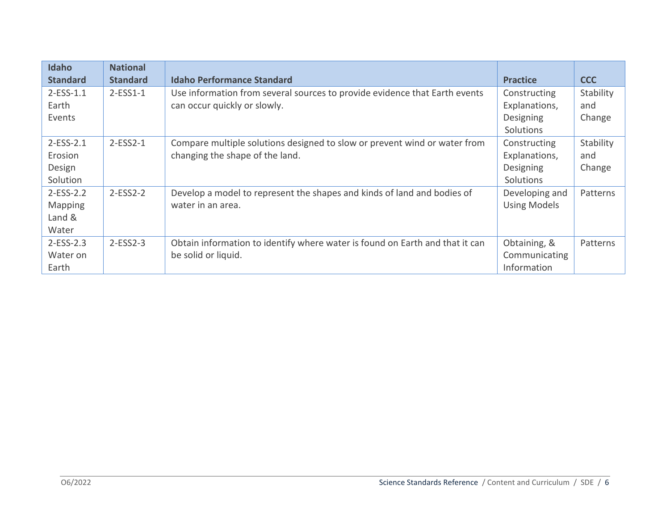| Idaho           | <b>National</b> |                                                                              |                     |            |
|-----------------|-----------------|------------------------------------------------------------------------------|---------------------|------------|
| <b>Standard</b> | <b>Standard</b> | <b>Idaho Performance Standard</b>                                            | <b>Practice</b>     | <b>CCC</b> |
| $2-ESS-1.1$     | $2-ESS1-1$      | Use information from several sources to provide evidence that Earth events   | Constructing        | Stability  |
| Earth           |                 | can occur quickly or slowly.                                                 | Explanations,       | and        |
| Events          |                 |                                                                              | Designing           | Change     |
|                 |                 |                                                                              | Solutions           |            |
| $2-ESS-2.1$     | $2-ESS2-1$      | Compare multiple solutions designed to slow or prevent wind or water from    | Constructing        | Stability  |
| Erosion         |                 | changing the shape of the land.                                              | Explanations,       | and        |
| Design          |                 |                                                                              | Designing           | Change     |
| Solution        |                 |                                                                              | Solutions           |            |
| $2-ESS-2.2$     | $2-ESS2-2$      | Develop a model to represent the shapes and kinds of land and bodies of      | Developing and      | Patterns   |
| Mapping         |                 | water in an area.                                                            | <b>Using Models</b> |            |
| Land &          |                 |                                                                              |                     |            |
| Water           |                 |                                                                              |                     |            |
| $2-ESS-2.3$     | $2-ESS2-3$      | Obtain information to identify where water is found on Earth and that it can | Obtaining, &        | Patterns   |
| Water on        |                 | be solid or liquid.                                                          | Communicating       |            |
| Earth           |                 |                                                                              | Information         |            |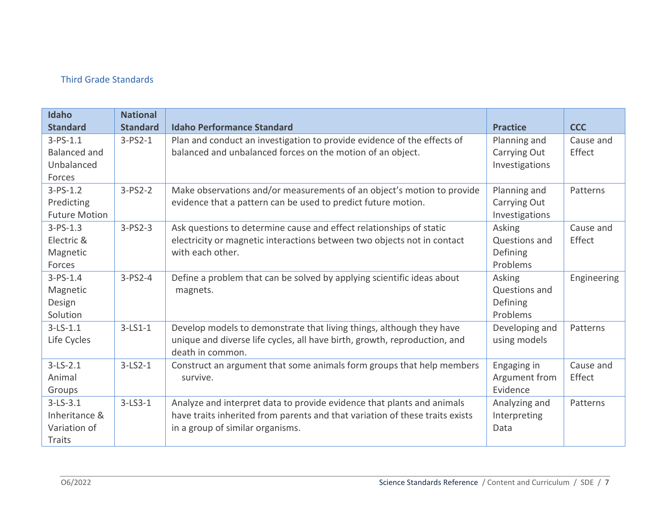## Third Grade Standards

| Idaho                | <b>National</b> |                                                                              |                 |             |
|----------------------|-----------------|------------------------------------------------------------------------------|-----------------|-------------|
| <b>Standard</b>      | <b>Standard</b> | <b>Idaho Performance Standard</b>                                            | <b>Practice</b> | <b>CCC</b>  |
| $3-PS-1.1$           | $3-PS2-1$       | Plan and conduct an investigation to provide evidence of the effects of      | Planning and    | Cause and   |
| <b>Balanced and</b>  |                 | balanced and unbalanced forces on the motion of an object.                   | Carrying Out    | Effect      |
| Unbalanced           |                 |                                                                              | Investigations  |             |
| Forces               |                 |                                                                              |                 |             |
| $3-PS-1.2$           | $3-PS2-2$       | Make observations and/or measurements of an object's motion to provide       | Planning and    | Patterns    |
| Predicting           |                 | evidence that a pattern can be used to predict future motion.                | Carrying Out    |             |
| <b>Future Motion</b> |                 |                                                                              | Investigations  |             |
| $3-PS-1.3$           | $3-PS2-3$       | Ask questions to determine cause and effect relationships of static          | Asking          | Cause and   |
| Electric &           |                 | electricity or magnetic interactions between two objects not in contact      | Questions and   | Effect      |
| Magnetic             |                 | with each other.                                                             | Defining        |             |
| Forces               |                 |                                                                              | Problems        |             |
| $3-PS-1.4$           | $3-PS2-4$       | Define a problem that can be solved by applying scientific ideas about       | Asking          | Engineering |
| Magnetic             |                 | magnets.                                                                     | Questions and   |             |
| Design               |                 |                                                                              | Defining        |             |
| Solution             |                 |                                                                              | Problems        |             |
| $3-LS-1.1$           | $3-LS1-1$       | Develop models to demonstrate that living things, although they have         | Developing and  | Patterns    |
| Life Cycles          |                 | unique and diverse life cycles, all have birth, growth, reproduction, and    | using models    |             |
|                      |                 | death in common.                                                             |                 |             |
| $3-LS-2.1$           | $3-LS2-1$       | Construct an argument that some animals form groups that help members        | Engaging in     | Cause and   |
| Animal               |                 | survive.                                                                     | Argument from   | Effect      |
| Groups               |                 |                                                                              | Evidence        |             |
| $3-LS-3.1$           | $3 - LS3 - 1$   | Analyze and interpret data to provide evidence that plants and animals       | Analyzing and   | Patterns    |
| Inheritance &        |                 | have traits inherited from parents and that variation of these traits exists | Interpreting    |             |
| Variation of         |                 | in a group of similar organisms.                                             | Data            |             |
| Traits               |                 |                                                                              |                 |             |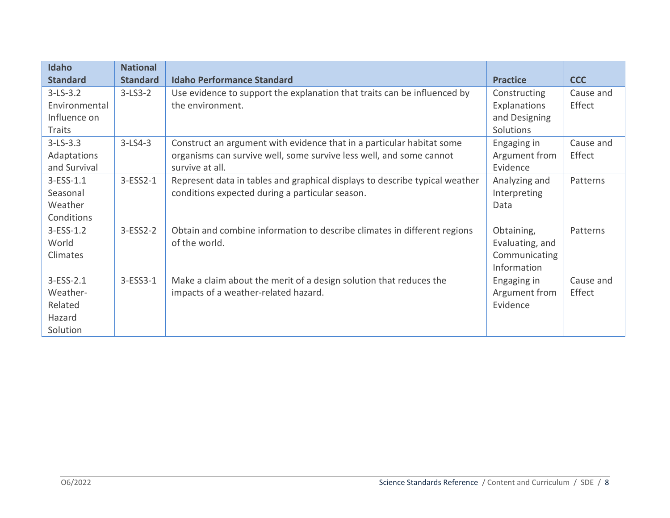| <b>Idaho</b>    | <b>National</b> |                                                                             |                 |            |
|-----------------|-----------------|-----------------------------------------------------------------------------|-----------------|------------|
| <b>Standard</b> | <b>Standard</b> | <b>Idaho Performance Standard</b>                                           | <b>Practice</b> | <b>CCC</b> |
| $3-LS-3.2$      | $3-LS3-2$       | Use evidence to support the explanation that traits can be influenced by    | Constructing    | Cause and  |
| Environmental   |                 | the environment.                                                            | Explanations    | Effect     |
| Influence on    |                 |                                                                             | and Designing   |            |
| <b>Traits</b>   |                 |                                                                             | Solutions       |            |
| $3-LS-3.3$      | $3-LS4-3$       | Construct an argument with evidence that in a particular habitat some       | Engaging in     | Cause and  |
| Adaptations     |                 | organisms can survive well, some survive less well, and some cannot         | Argument from   | Effect     |
| and Survival    |                 | survive at all.                                                             | Evidence        |            |
| $3 - ESS - 1.1$ | $3-ESS2-1$      | Represent data in tables and graphical displays to describe typical weather | Analyzing and   | Patterns   |
| Seasonal        |                 | conditions expected during a particular season.                             | Interpreting    |            |
| Weather         |                 |                                                                             | Data            |            |
| Conditions      |                 |                                                                             |                 |            |
| $3 - ESS - 1.2$ | $3-ESS2-2$      | Obtain and combine information to describe climates in different regions    | Obtaining,      | Patterns   |
| World           |                 | of the world.                                                               | Evaluating, and |            |
| Climates        |                 |                                                                             | Communicating   |            |
|                 |                 |                                                                             | Information     |            |
| 3-ESS-2.1       | $3-ESS3-1$      | Make a claim about the merit of a design solution that reduces the          | Engaging in     | Cause and  |
| Weather-        |                 | impacts of a weather-related hazard.                                        | Argument from   | Effect     |
| Related         |                 |                                                                             | Evidence        |            |
| Hazard          |                 |                                                                             |                 |            |
| Solution        |                 |                                                                             |                 |            |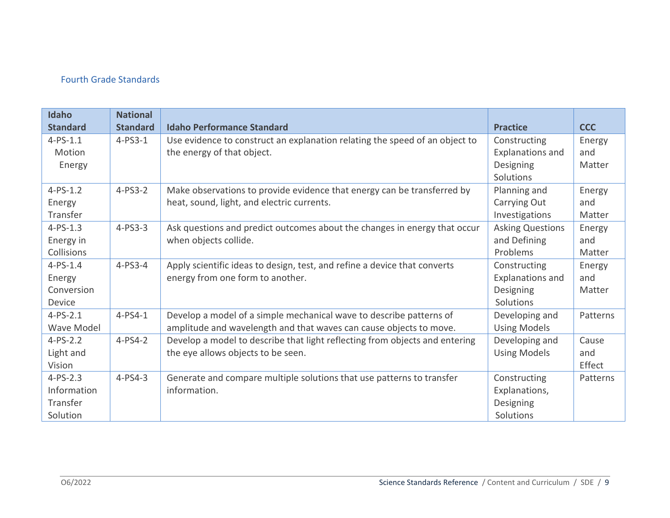## Fourth Grade Standards

| Idaho             | <b>National</b> |                                                                             |                         |            |
|-------------------|-----------------|-----------------------------------------------------------------------------|-------------------------|------------|
| <b>Standard</b>   | <b>Standard</b> | <b>Idaho Performance Standard</b>                                           | <b>Practice</b>         | <b>CCC</b> |
| $4 - PS - 1.1$    | $4-PS3-1$       | Use evidence to construct an explanation relating the speed of an object to | Constructing            | Energy     |
| Motion            |                 | the energy of that object.                                                  | <b>Explanations and</b> | and        |
| Energy            |                 |                                                                             | Designing               | Matter     |
|                   |                 |                                                                             | Solutions               |            |
| $4 - PS - 1.2$    | $4-PS3-2$       | Make observations to provide evidence that energy can be transferred by     | Planning and            | Energy     |
| Energy            |                 | heat, sound, light, and electric currents.                                  | Carrying Out            | and        |
| Transfer          |                 |                                                                             | Investigations          | Matter     |
| $4 - PS - 1.3$    | $4-PS3-3$       | Ask questions and predict outcomes about the changes in energy that occur   | <b>Asking Questions</b> | Energy     |
| Energy in         |                 | when objects collide.                                                       | and Defining            | and        |
| Collisions        |                 |                                                                             | Problems                | Matter     |
| $4 - PS - 1.4$    | $4-PS3-4$       | Apply scientific ideas to design, test, and refine a device that converts   | Constructing            | Energy     |
| Energy            |                 | energy from one form to another.                                            | <b>Explanations and</b> | and        |
| Conversion        |                 |                                                                             | Designing               | Matter     |
| Device            |                 |                                                                             | Solutions               |            |
| $4 - PS - 2.1$    | $4-PS4-1$       | Develop a model of a simple mechanical wave to describe patterns of         | Developing and          | Patterns   |
| <b>Wave Model</b> |                 | amplitude and wavelength and that waves can cause objects to move.          | <b>Using Models</b>     |            |
| $4 - PS - 2.2$    | $4-PS4-2$       | Develop a model to describe that light reflecting from objects and entering | Developing and          | Cause      |
| Light and         |                 | the eye allows objects to be seen.                                          | <b>Using Models</b>     | and        |
| Vision            |                 |                                                                             |                         | Effect     |
| $4 - PS - 2.3$    | $4-PS4-3$       | Generate and compare multiple solutions that use patterns to transfer       | Constructing            | Patterns   |
| Information       |                 | information.                                                                | Explanations,           |            |
| Transfer          |                 |                                                                             | Designing               |            |
| Solution          |                 |                                                                             | Solutions               |            |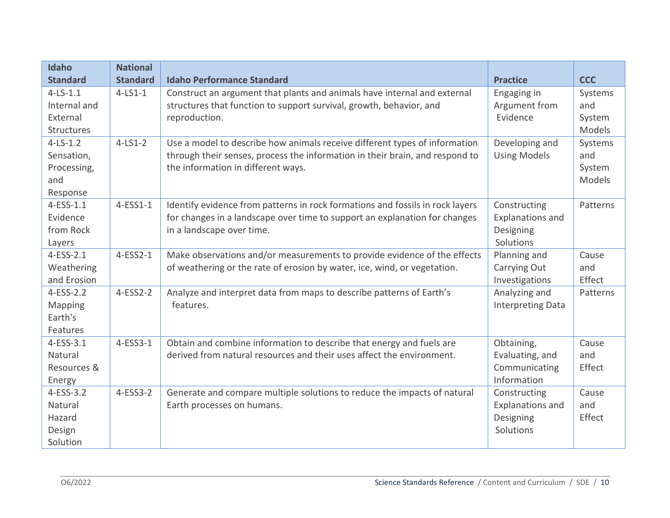| <b>Idaho</b>      | <b>National</b> |                                                                               |                          |            |
|-------------------|-----------------|-------------------------------------------------------------------------------|--------------------------|------------|
| <b>Standard</b>   | <b>Standard</b> | <b>Idaho Performance Standard</b>                                             | <b>Practice</b>          | <b>CCC</b> |
| $4-LS-1.1$        | $4 - LS1 - 1$   | Construct an argument that plants and animals have internal and external      | Engaging in              | Systems    |
| Internal and      |                 | structures that function to support survival, growth, behavior, and           | Argument from            | and        |
| External          |                 | reproduction.                                                                 | Evidence                 | System     |
| <b>Structures</b> |                 |                                                                               |                          | Models     |
| $4-LS-1.2$        | $4-LS1-2$       | Use a model to describe how animals receive different types of information    | Developing and           | Systems    |
| Sensation,        |                 | through their senses, process the information in their brain, and respond to  | <b>Using Models</b>      | and        |
| Processing,       |                 | the information in different ways.                                            |                          | System     |
| and               |                 |                                                                               |                          | Models     |
| Response          |                 |                                                                               |                          |            |
| $4-ESS-1.1$       | 4-ESS1-1        | Identify evidence from patterns in rock formations and fossils in rock layers | Constructing             | Patterns   |
| Evidence          |                 | for changes in a landscape over time to support an explanation for changes    | <b>Explanations and</b>  |            |
| from Rock         |                 | in a landscape over time.                                                     | Designing                |            |
| Layers            |                 |                                                                               | Solutions                |            |
| $4-ESS-2.1$       | 4-ESS2-1        | Make observations and/or measurements to provide evidence of the effects      | Planning and             | Cause      |
| Weathering        |                 | of weathering or the rate of erosion by water, ice, wind, or vegetation.      | Carrying Out             | and        |
| and Erosion       |                 |                                                                               | Investigations           | Effect     |
| $4-ESS-2.2$       | 4-ESS2-2        | Analyze and interpret data from maps to describe patterns of Earth's          | Analyzing and            | Patterns   |
| Mapping           |                 | features.                                                                     | <b>Interpreting Data</b> |            |
| Earth's           |                 |                                                                               |                          |            |
| Features          |                 |                                                                               |                          |            |
| 4-ESS-3.1         | 4-ESS3-1        | Obtain and combine information to describe that energy and fuels are          | Obtaining,               | Cause      |
| Natural           |                 | derived from natural resources and their uses affect the environment.         | Evaluating, and          | and        |
| Resources &       |                 |                                                                               | Communicating            | Effect     |
| Energy            |                 |                                                                               | Information              |            |
| $4-ESS-3.2$       | 4-ESS3-2        | Generate and compare multiple solutions to reduce the impacts of natural      | Constructing             | Cause      |
| Natural           |                 | Earth processes on humans.                                                    | <b>Explanations and</b>  | and        |
| Hazard            |                 |                                                                               | Designing                | Effect     |
| Design            |                 |                                                                               | Solutions                |            |
| Solution          |                 |                                                                               |                          |            |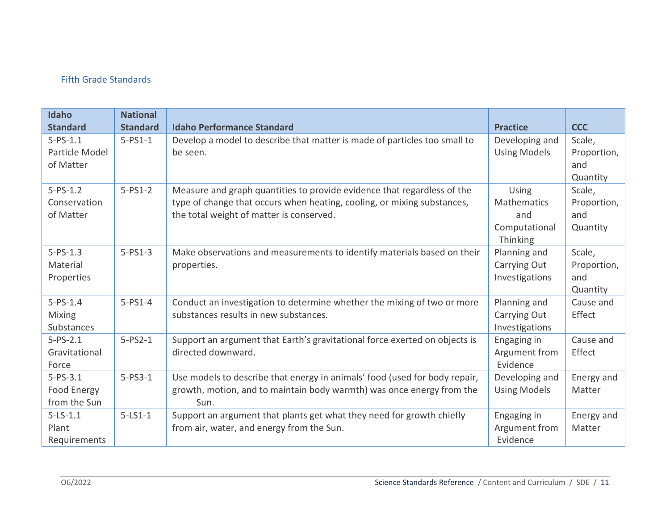## Fifth Grade Standards

| Idaho<br><b>Standard</b>                      | <b>National</b><br><b>Standard</b> | <b>Idaho Performance Standard</b>                                                                                                                                                              | <b>Practice</b>                                                 | <b>CCC</b>                               |
|-----------------------------------------------|------------------------------------|------------------------------------------------------------------------------------------------------------------------------------------------------------------------------------------------|-----------------------------------------------------------------|------------------------------------------|
| $5 - PS - 1.1$<br>Particle Model              | $5-PS1-1$                          | Develop a model to describe that matter is made of particles too small to<br>be seen.                                                                                                          | Developing and<br><b>Using Models</b>                           | Scale,<br>Proportion,                    |
| of Matter                                     |                                    |                                                                                                                                                                                                |                                                                 | and<br>Quantity                          |
| $5 - PS - 1.2$<br>Conservation<br>of Matter   | $5-PS1-2$                          | Measure and graph quantities to provide evidence that regardless of the<br>type of change that occurs when heating, cooling, or mixing substances,<br>the total weight of matter is conserved. | Using<br><b>Mathematics</b><br>and<br>Computational<br>Thinking | Scale,<br>Proportion,<br>and<br>Quantity |
| $5 - PS - 1.3$<br>Material<br>Properties      | $5-PS1-3$                          | Make observations and measurements to identify materials based on their<br>properties.                                                                                                         | Planning and<br>Carrying Out<br>Investigations                  | Scale,<br>Proportion,<br>and<br>Quantity |
| $5 - PS - 1.4$<br><b>Mixing</b><br>Substances | $5-PS1-4$                          | Conduct an investigation to determine whether the mixing of two or more<br>substances results in new substances.                                                                               | Planning and<br>Carrying Out<br>Investigations                  | Cause and<br>Effect                      |
| $5 - PS - 2.1$<br>Gravitational<br>Force      | $5-PS2-1$                          | Support an argument that Earth's gravitational force exerted on objects is<br>directed downward.                                                                                               | Engaging in<br>Argument from<br>Evidence                        | Cause and<br>Effect                      |
| $5 - PS - 3.1$<br>Food Energy<br>from the Sun | $5-PS3-1$                          | Use models to describe that energy in animals' food (used for body repair,<br>growth, motion, and to maintain body warmth) was once energy from the<br>Sun.                                    | Developing and<br><b>Using Models</b>                           | Energy and<br>Matter                     |
| $5 - LS - 1.1$<br>Plant<br>Requirements       | $5-LS1-1$                          | Support an argument that plants get what they need for growth chiefly<br>from air, water, and energy from the Sun.                                                                             | Engaging in<br>Argument from<br>Evidence                        | Energy and<br>Matter                     |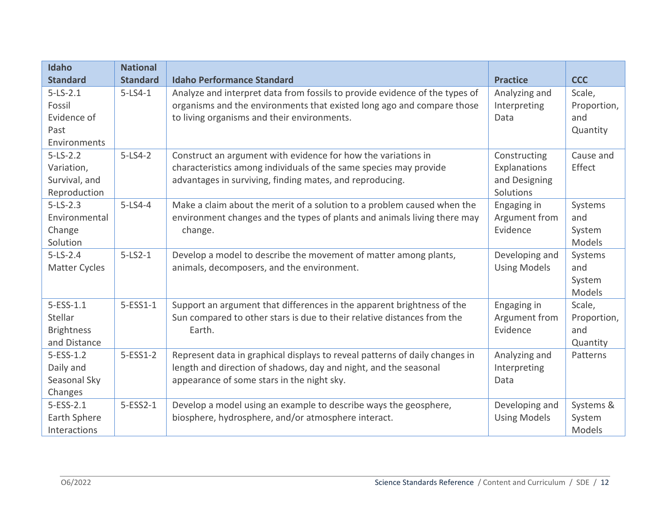| Idaho                | <b>National</b> |                                                                             |                     |             |
|----------------------|-----------------|-----------------------------------------------------------------------------|---------------------|-------------|
| <b>Standard</b>      | <b>Standard</b> | <b>Idaho Performance Standard</b>                                           | <b>Practice</b>     | <b>CCC</b>  |
| $5 - LS - 2.1$       | $5 - LS4 - 1$   | Analyze and interpret data from fossils to provide evidence of the types of | Analyzing and       | Scale,      |
| Fossil               |                 | organisms and the environments that existed long ago and compare those      | Interpreting        | Proportion, |
| Evidence of          |                 | to living organisms and their environments.                                 | Data                | and         |
| Past                 |                 |                                                                             |                     | Quantity    |
| Environments         |                 |                                                                             |                     |             |
| $5 - LS - 2.2$       | $5-LS4-2$       | Construct an argument with evidence for how the variations in               | Constructing        | Cause and   |
| Variation,           |                 | characteristics among individuals of the same species may provide           | Explanations        | Effect      |
| Survival, and        |                 | advantages in surviving, finding mates, and reproducing.                    | and Designing       |             |
| Reproduction         |                 |                                                                             | Solutions           |             |
| $5 - LS - 2.3$       | $5-LS4-4$       | Make a claim about the merit of a solution to a problem caused when the     | Engaging in         | Systems     |
| Environmental        |                 | environment changes and the types of plants and animals living there may    | Argument from       | and         |
| Change               |                 | change.                                                                     | Evidence            | System      |
| Solution             |                 |                                                                             |                     | Models      |
| $5 - LS - 2.4$       | $5-LS2-1$       | Develop a model to describe the movement of matter among plants,            | Developing and      | Systems     |
| <b>Matter Cycles</b> |                 | animals, decomposers, and the environment.                                  | <b>Using Models</b> | and         |
|                      |                 |                                                                             |                     | System      |
|                      |                 |                                                                             |                     | Models      |
| $5 - ESS - 1.1$      | $5-ESS1-1$      | Support an argument that differences in the apparent brightness of the      | Engaging in         | Scale,      |
| Stellar              |                 | Sun compared to other stars is due to their relative distances from the     | Argument from       | Proportion, |
| <b>Brightness</b>    |                 | Earth.                                                                      | Evidence            | and         |
| and Distance         |                 |                                                                             |                     | Quantity    |
| $5 - ESS - 1.2$      | $5-ESS1-2$      | Represent data in graphical displays to reveal patterns of daily changes in | Analyzing and       | Patterns    |
| Daily and            |                 | length and direction of shadows, day and night, and the seasonal            | Interpreting        |             |
| Seasonal Sky         |                 | appearance of some stars in the night sky.                                  | Data                |             |
| Changes              |                 |                                                                             |                     |             |
| $5 - ESS - 2.1$      | 5-ESS2-1        | Develop a model using an example to describe ways the geosphere,            | Developing and      | Systems &   |
| Earth Sphere         |                 | biosphere, hydrosphere, and/or atmosphere interact.                         | <b>Using Models</b> | System      |
| Interactions         |                 |                                                                             |                     | Models      |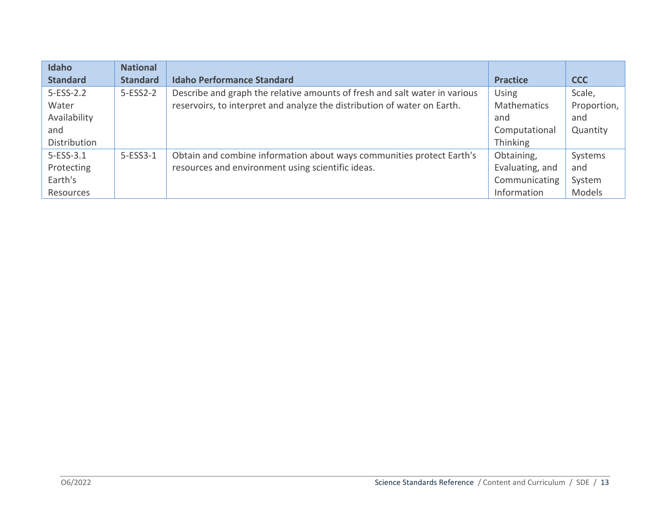| Idaho           | <b>National</b> |                                                                            |                    |               |
|-----------------|-----------------|----------------------------------------------------------------------------|--------------------|---------------|
| <b>Standard</b> | <b>Standard</b> | <b>Idaho Performance Standard</b>                                          | <b>Practice</b>    | <b>CCC</b>    |
| $5-ESS-2.2$     | $5-ESS2-2$      | Describe and graph the relative amounts of fresh and salt water in various | <b>Using</b>       | Scale,        |
| Water           |                 | reservoirs, to interpret and analyze the distribution of water on Earth.   | <b>Mathematics</b> | Proportion,   |
| Availability    |                 |                                                                            | and                | and           |
| and             |                 |                                                                            | Computational      | Quantity      |
| Distribution    |                 |                                                                            | Thinking           |               |
| $5 - ESS - 3.1$ | $5-ESS3-1$      | Obtain and combine information about ways communities protect Earth's      | Obtaining,         | Systems       |
| Protecting      |                 | resources and environment using scientific ideas.                          | Evaluating, and    | and           |
| Earth's         |                 |                                                                            | Communicating      | System        |
| Resources       |                 |                                                                            | Information        | <b>Models</b> |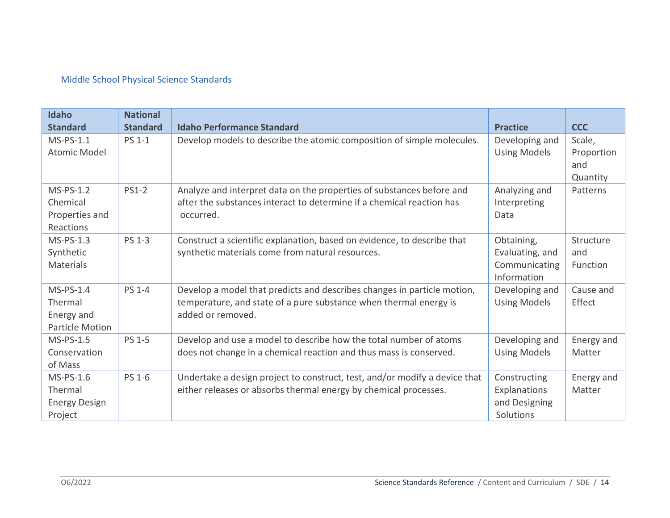# Middle School Physical Science Standards

| Idaho<br><b>Standard</b>                                       | <b>National</b><br><b>Standard</b> | <b>Idaho Performance Standard</b>                                                                                                                                 | <b>Practice</b>                                               | <b>CCC</b>                              |
|----------------------------------------------------------------|------------------------------------|-------------------------------------------------------------------------------------------------------------------------------------------------------------------|---------------------------------------------------------------|-----------------------------------------|
| $MS-PS-1.1$<br><b>Atomic Model</b>                             | <b>PS 1-1</b>                      | Develop models to describe the atomic composition of simple molecules.                                                                                            | Developing and<br><b>Using Models</b>                         | Scale,<br>Proportion<br>and<br>Quantity |
| MS-PS-1.2<br>Chemical<br>Properties and<br>Reactions           | <b>PS1-2</b>                       | Analyze and interpret data on the properties of substances before and<br>after the substances interact to determine if a chemical reaction has<br>occurred.       | Analyzing and<br>Interpreting<br>Data                         | Patterns                                |
| MS-PS-1.3<br>Synthetic<br>Materials                            | <b>PS 1-3</b>                      | Construct a scientific explanation, based on evidence, to describe that<br>synthetic materials come from natural resources.                                       | Obtaining,<br>Evaluating, and<br>Communicating<br>Information | Structure<br>and<br>Function            |
| $MS-PS-1.4$<br>Thermal<br>Energy and<br><b>Particle Motion</b> | <b>PS 1-4</b>                      | Develop a model that predicts and describes changes in particle motion,<br>temperature, and state of a pure substance when thermal energy is<br>added or removed. | Developing and<br><b>Using Models</b>                         | Cause and<br>Effect                     |
| $MS-PS-1.5$<br>Conservation<br>of Mass                         | <b>PS 1-5</b>                      | Develop and use a model to describe how the total number of atoms<br>does not change in a chemical reaction and thus mass is conserved.                           | Developing and<br><b>Using Models</b>                         | Energy and<br>Matter                    |
| MS-PS-1.6<br>Thermal<br><b>Energy Design</b><br>Project        | PS 1-6                             | Undertake a design project to construct, test, and/or modify a device that<br>either releases or absorbs thermal energy by chemical processes.                    | Constructing<br>Explanations<br>and Designing<br>Solutions    | Energy and<br>Matter                    |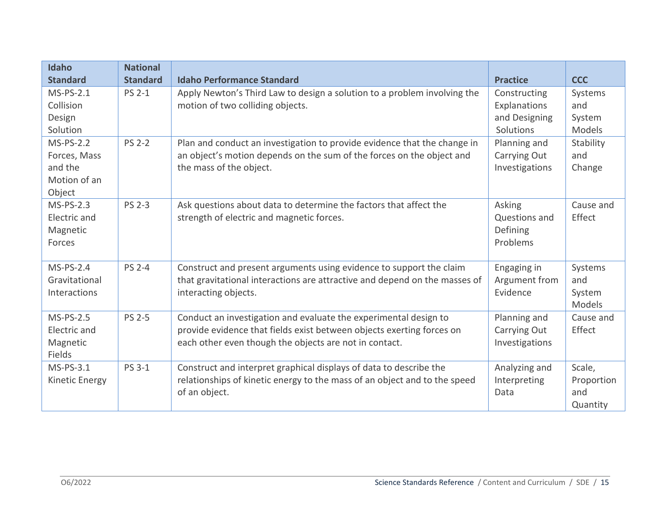| Idaho<br><b>Standard</b>                                         | <b>National</b><br><b>Standard</b> | <b>Idaho Performance Standard</b>                                                                                                                                                                   | <b>Practice</b>                                            | <b>CCC</b>                              |
|------------------------------------------------------------------|------------------------------------|-----------------------------------------------------------------------------------------------------------------------------------------------------------------------------------------------------|------------------------------------------------------------|-----------------------------------------|
| $MS-PS-2.1$<br>Collision<br>Design<br>Solution                   | <b>PS 2-1</b>                      | Apply Newton's Third Law to design a solution to a problem involving the<br>motion of two colliding objects.                                                                                        | Constructing<br>Explanations<br>and Designing<br>Solutions | Systems<br>and<br>System<br>Models      |
| $MS-PS-2.2$<br>Forces, Mass<br>and the<br>Motion of an<br>Object | <b>PS 2-2</b>                      | Plan and conduct an investigation to provide evidence that the change in<br>an object's motion depends on the sum of the forces on the object and<br>the mass of the object.                        | Planning and<br>Carrying Out<br>Investigations             | Stability<br>and<br>Change              |
| <b>MS-PS-2.3</b><br>Electric and<br>Magnetic<br>Forces           | <b>PS 2-3</b>                      | Ask questions about data to determine the factors that affect the<br>strength of electric and magnetic forces.                                                                                      | Asking<br>Questions and<br>Defining<br>Problems            | Cause and<br>Effect                     |
| $MS-PS-2.4$<br>Gravitational<br>Interactions                     | <b>PS 2-4</b>                      | Construct and present arguments using evidence to support the claim<br>that gravitational interactions are attractive and depend on the masses of<br>interacting objects.                           | Engaging in<br>Argument from<br>Evidence                   | Systems<br>and<br>System<br>Models      |
| $MS-PS-2.5$<br>Electric and<br>Magnetic<br>Fields                | <b>PS 2-5</b>                      | Conduct an investigation and evaluate the experimental design to<br>provide evidence that fields exist between objects exerting forces on<br>each other even though the objects are not in contact. | Planning and<br>Carrying Out<br>Investigations             | Cause and<br>Effect                     |
| $MS-PS-3.1$<br>Kinetic Energy                                    | <b>PS 3-1</b>                      | Construct and interpret graphical displays of data to describe the<br>relationships of kinetic energy to the mass of an object and to the speed<br>of an object.                                    | Analyzing and<br>Interpreting<br>Data                      | Scale,<br>Proportion<br>and<br>Quantity |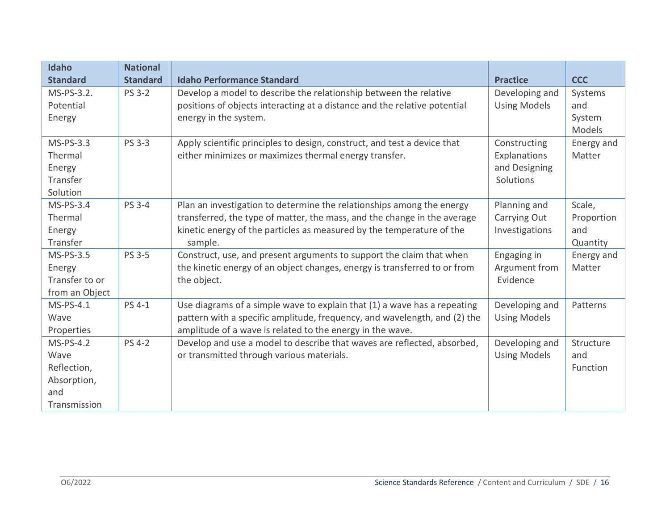| Idaho           | <b>National</b> |                                                                           |                     |            |
|-----------------|-----------------|---------------------------------------------------------------------------|---------------------|------------|
| <b>Standard</b> | <b>Standard</b> | <b>Idaho Performance Standard</b>                                         | <b>Practice</b>     | <b>CCC</b> |
| MS-PS-3.2.      | <b>PS 3-2</b>   | Develop a model to describe the relationship between the relative         | Developing and      | Systems    |
| Potential       |                 | positions of objects interacting at a distance and the relative potential | <b>Using Models</b> | and        |
| Energy          |                 | energy in the system.                                                     |                     | System     |
|                 |                 |                                                                           |                     | Models     |
| MS-PS-3.3       | <b>PS 3-3</b>   | Apply scientific principles to design, construct, and test a device that  | Constructing        | Energy and |
| Thermal         |                 | either minimizes or maximizes thermal energy transfer.                    | Explanations        | Matter     |
| Energy          |                 |                                                                           | and Designing       |            |
| Transfer        |                 |                                                                           | Solutions           |            |
| Solution        |                 |                                                                           |                     |            |
| $MS-PS-3.4$     | PS 3-4          | Plan an investigation to determine the relationships among the energy     | Planning and        | Scale,     |
| Thermal         |                 | transferred, the type of matter, the mass, and the change in the average  | Carrying Out        | Proportion |
| Energy          |                 | kinetic energy of the particles as measured by the temperature of the     | Investigations      | and        |
| Transfer        |                 | sample.                                                                   |                     | Quantity   |
| MS-PS-3.5       | PS 3-5          | Construct, use, and present arguments to support the claim that when      | Engaging in         | Energy and |
| Energy          |                 | the kinetic energy of an object changes, energy is transferred to or from | Argument from       | Matter     |
| Transfer to or  |                 | the object.                                                               | Evidence            |            |
| from an Object  |                 |                                                                           |                     |            |
| MS-PS-4.1       | PS 4-1          | Use diagrams of a simple wave to explain that (1) a wave has a repeating  | Developing and      | Patterns   |
| Wave            |                 | pattern with a specific amplitude, frequency, and wavelength, and (2) the | <b>Using Models</b> |            |
| Properties      |                 | amplitude of a wave is related to the energy in the wave.                 |                     |            |
| MS-PS-4.2       | <b>PS 4-2</b>   | Develop and use a model to describe that waves are reflected, absorbed,   | Developing and      | Structure  |
| Wave            |                 | or transmitted through various materials.                                 | <b>Using Models</b> | and        |
| Reflection,     |                 |                                                                           |                     | Function   |
| Absorption,     |                 |                                                                           |                     |            |
| and             |                 |                                                                           |                     |            |
| Transmission    |                 |                                                                           |                     |            |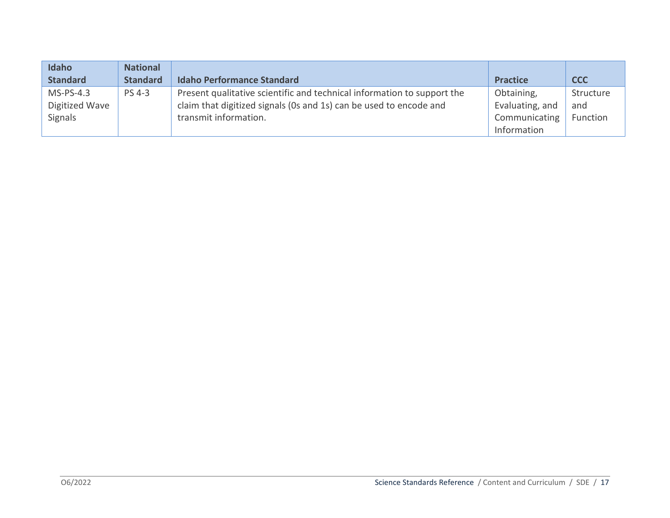| Idaho           | <b>National</b> |                                                                         |                 |            |
|-----------------|-----------------|-------------------------------------------------------------------------|-----------------|------------|
| <b>Standard</b> | <b>Standard</b> | <b>Idaho Performance Standard</b>                                       | <b>Practice</b> | <b>CCC</b> |
| $MS-PS-4.3$     | <b>PS 4-3</b>   | Present qualitative scientific and technical information to support the | Obtaining,      | Structure  |
| Digitized Wave  |                 | claim that digitized signals (0s and 1s) can be used to encode and      | Evaluating, and | and        |
| Signals         |                 | transmit information.                                                   | Communicating   | Function   |
|                 |                 |                                                                         | Information     |            |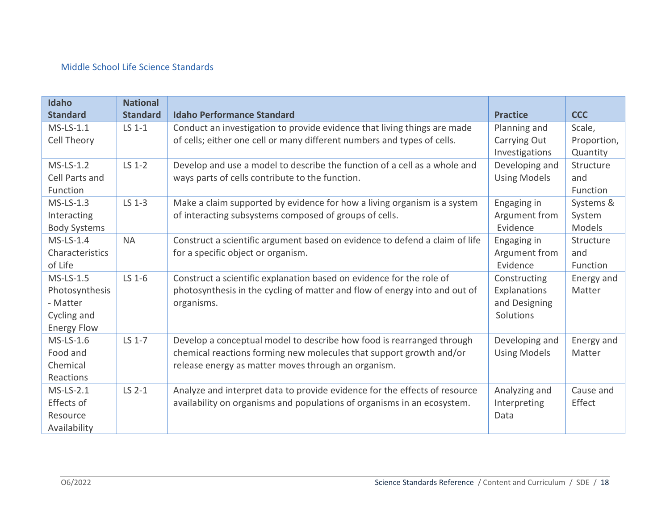## Middle School Life Science Standards

| Idaho               | <b>National</b> |                                                                             |                     |             |
|---------------------|-----------------|-----------------------------------------------------------------------------|---------------------|-------------|
| <b>Standard</b>     | <b>Standard</b> | <b>Idaho Performance Standard</b>                                           | <b>Practice</b>     | <b>CCC</b>  |
| $MS$ -LS-1.1        | LS 1-1          | Conduct an investigation to provide evidence that living things are made    | Planning and        | Scale,      |
| Cell Theory         |                 | of cells; either one cell or many different numbers and types of cells.     | Carrying Out        | Proportion, |
|                     |                 |                                                                             | Investigations      | Quantity    |
| $MS$ -LS-1.2        | $LS$ 1-2        | Develop and use a model to describe the function of a cell as a whole and   | Developing and      | Structure   |
| Cell Parts and      |                 | ways parts of cells contribute to the function.                             | <b>Using Models</b> | and         |
| Function            |                 |                                                                             |                     | Function    |
| $MS$ -LS-1.3        | LS 1-3          | Make a claim supported by evidence for how a living organism is a system    | Engaging in         | Systems &   |
| Interacting         |                 | of interacting subsystems composed of groups of cells.                      | Argument from       | System      |
| <b>Body Systems</b> |                 |                                                                             | Evidence            | Models      |
| $MS$ -LS-1.4        | <b>NA</b>       | Construct a scientific argument based on evidence to defend a claim of life | Engaging in         | Structure   |
| Characteristics     |                 | for a specific object or organism.                                          | Argument from       | and         |
| of Life             |                 |                                                                             | Evidence            | Function    |
| $MS$ -LS-1.5        | LS 1-6          | Construct a scientific explanation based on evidence for the role of        | Constructing        | Energy and  |
| Photosynthesis      |                 | photosynthesis in the cycling of matter and flow of energy into and out of  | Explanations        | Matter      |
| - Matter            |                 | organisms.                                                                  | and Designing       |             |
| Cycling and         |                 |                                                                             | Solutions           |             |
| <b>Energy Flow</b>  |                 |                                                                             |                     |             |
| MS-LS-1.6           | LS 1-7          | Develop a conceptual model to describe how food is rearranged through       | Developing and      | Energy and  |
| Food and            |                 | chemical reactions forming new molecules that support growth and/or         | <b>Using Models</b> | Matter      |
| Chemical            |                 | release energy as matter moves through an organism.                         |                     |             |
| Reactions           |                 |                                                                             |                     |             |
| $MS$ -LS-2.1        | LS 2-1          | Analyze and interpret data to provide evidence for the effects of resource  | Analyzing and       | Cause and   |
| Effects of          |                 | availability on organisms and populations of organisms in an ecosystem.     | Interpreting        | Effect      |
| Resource            |                 |                                                                             | Data                |             |
| Availability        |                 |                                                                             |                     |             |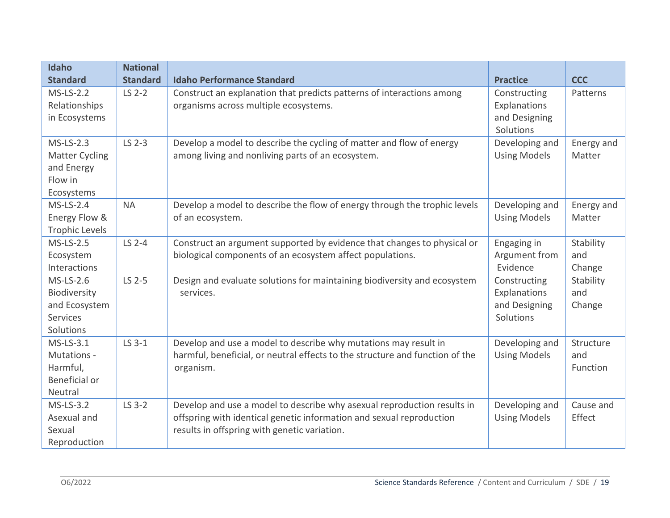| <b>Idaho</b><br><b>Standard</b>                                              | <b>National</b><br><b>Standard</b> | <b>Idaho Performance Standard</b>                                                                                                                                                               | <b>Practice</b>                                            | <b>CCC</b>                   |
|------------------------------------------------------------------------------|------------------------------------|-------------------------------------------------------------------------------------------------------------------------------------------------------------------------------------------------|------------------------------------------------------------|------------------------------|
| $MS$ -LS-2.2<br>Relationships<br>in Ecosystems                               | LS 2-2                             | Construct an explanation that predicts patterns of interactions among<br>organisms across multiple ecosystems.                                                                                  | Constructing<br>Explanations<br>and Designing<br>Solutions | Patterns                     |
| $MS$ -LS-2.3<br><b>Matter Cycling</b><br>and Energy<br>Flow in<br>Ecosystems | LS 2-3                             | Develop a model to describe the cycling of matter and flow of energy<br>among living and nonliving parts of an ecosystem.                                                                       | Developing and<br><b>Using Models</b>                      | Energy and<br>Matter         |
| $MS$ -LS-2.4<br>Energy Flow &<br><b>Trophic Levels</b>                       | <b>NA</b>                          | Develop a model to describe the flow of energy through the trophic levels<br>of an ecosystem.                                                                                                   | Developing and<br><b>Using Models</b>                      | Energy and<br>Matter         |
| <b>MS-LS-2.5</b><br>Ecosystem<br>Interactions                                | LS 2-4                             | Construct an argument supported by evidence that changes to physical or<br>biological components of an ecosystem affect populations.                                                            | Engaging in<br>Argument from<br>Evidence                   | Stability<br>and<br>Change   |
| MS-LS-2.6<br>Biodiversity<br>and Ecosystem<br><b>Services</b><br>Solutions   | LS 2-5                             | Design and evaluate solutions for maintaining biodiversity and ecosystem<br>services.                                                                                                           | Constructing<br>Explanations<br>and Designing<br>Solutions | Stability<br>and<br>Change   |
| $MS$ -LS-3.1<br>Mutations -<br>Harmful,<br>Beneficial or<br>Neutral          | LS 3-1                             | Develop and use a model to describe why mutations may result in<br>harmful, beneficial, or neutral effects to the structure and function of the<br>organism.                                    | Developing and<br><b>Using Models</b>                      | Structure<br>and<br>Function |
| $MS$ -LS-3.2<br>Asexual and<br>Sexual<br>Reproduction                        | LS 3-2                             | Develop and use a model to describe why asexual reproduction results in<br>offspring with identical genetic information and sexual reproduction<br>results in offspring with genetic variation. | Developing and<br><b>Using Models</b>                      | Cause and<br>Effect          |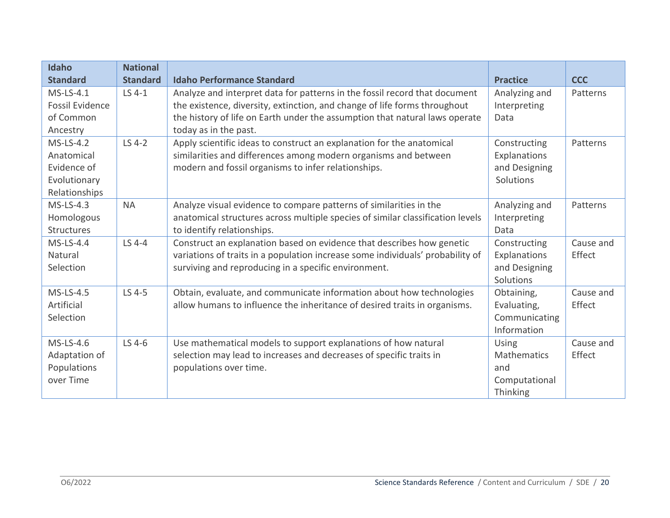| Idaho                  | <b>National</b> |                                                                                |                    |            |
|------------------------|-----------------|--------------------------------------------------------------------------------|--------------------|------------|
| <b>Standard</b>        | <b>Standard</b> | <b>Idaho Performance Standard</b>                                              | <b>Practice</b>    | <b>CCC</b> |
| $MS$ -LS-4.1           | LS 4-1          | Analyze and interpret data for patterns in the fossil record that document     | Analyzing and      | Patterns   |
| <b>Fossil Evidence</b> |                 | the existence, diversity, extinction, and change of life forms throughout      | Interpreting       |            |
| of Common              |                 | the history of life on Earth under the assumption that natural laws operate    | Data               |            |
| Ancestry               |                 | today as in the past.                                                          |                    |            |
| $MS$ -LS-4.2           | LS 4-2          | Apply scientific ideas to construct an explanation for the anatomical          | Constructing       | Patterns   |
| Anatomical             |                 | similarities and differences among modern organisms and between                | Explanations       |            |
| Evidence of            |                 | modern and fossil organisms to infer relationships.                            | and Designing      |            |
| Evolutionary           |                 |                                                                                | Solutions          |            |
| Relationships          |                 |                                                                                |                    |            |
| $MS$ -LS-4.3           | <b>NA</b>       | Analyze visual evidence to compare patterns of similarities in the             | Analyzing and      | Patterns   |
| Homologous             |                 | anatomical structures across multiple species of similar classification levels | Interpreting       |            |
| <b>Structures</b>      |                 | to identify relationships.                                                     | Data               |            |
| $MS$ -LS-4.4           | LS 4-4          | Construct an explanation based on evidence that describes how genetic          | Constructing       | Cause and  |
| Natural                |                 | variations of traits in a population increase some individuals' probability of | Explanations       | Effect     |
| Selection              |                 | surviving and reproducing in a specific environment.                           | and Designing      |            |
|                        |                 |                                                                                | Solutions          |            |
| MS-LS-4.5              | LS 4-5          | Obtain, evaluate, and communicate information about how technologies           | Obtaining,         | Cause and  |
| Artificial             |                 | allow humans to influence the inheritance of desired traits in organisms.      | Evaluating,        | Effect     |
| Selection              |                 |                                                                                | Communicating      |            |
|                        |                 |                                                                                | Information        |            |
| MS-LS-4.6              | LS 4-6          | Use mathematical models to support explanations of how natural                 | Using              | Cause and  |
| Adaptation of          |                 | selection may lead to increases and decreases of specific traits in            | <b>Mathematics</b> | Effect     |
| Populations            |                 | populations over time.                                                         | and                |            |
| over Time              |                 |                                                                                | Computational      |            |
|                        |                 |                                                                                | Thinking           |            |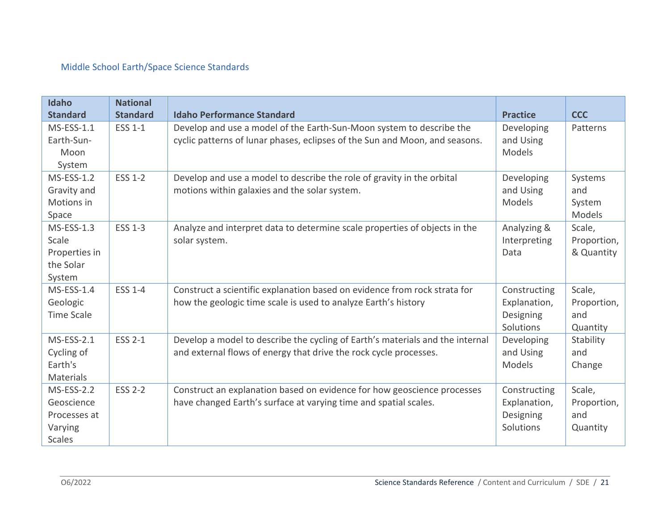# Middle School Earth/Space Science Standards

| Idaho<br><b>Standard</b>                                                    | <b>National</b><br><b>Standard</b> | <b>Idaho Performance Standard</b>                                                                                                                   | <b>Practice</b>                                        | <b>CCC</b>                               |
|-----------------------------------------------------------------------------|------------------------------------|-----------------------------------------------------------------------------------------------------------------------------------------------------|--------------------------------------------------------|------------------------------------------|
| $MS-ESS-1.1$<br>Earth-Sun-                                                  | ESS 1-1                            | Develop and use a model of the Earth-Sun-Moon system to describe the<br>cyclic patterns of lunar phases, eclipses of the Sun and Moon, and seasons. | Developing<br>and Using                                | Patterns                                 |
| Moon<br>System                                                              |                                    |                                                                                                                                                     | Models                                                 |                                          |
| <b>MS-ESS-1.2</b><br>Gravity and<br>Motions in<br>Space                     | <b>ESS 1-2</b>                     | Develop and use a model to describe the role of gravity in the orbital<br>motions within galaxies and the solar system.                             | Developing<br>and Using<br>Models                      | Systems<br>and<br>System<br>Models       |
| <b>MS-ESS-1.3</b><br>Scale<br>Properties in<br>the Solar<br>System          | <b>ESS 1-3</b>                     | Analyze and interpret data to determine scale properties of objects in the<br>solar system.                                                         | Analyzing &<br>Interpreting<br>Data                    | Scale,<br>Proportion,<br>& Quantity      |
| $MS-ESS-1.4$<br>Geologic<br><b>Time Scale</b>                               | <b>ESS 1-4</b>                     | Construct a scientific explanation based on evidence from rock strata for<br>how the geologic time scale is used to analyze Earth's history         | Constructing<br>Explanation,<br>Designing<br>Solutions | Scale,<br>Proportion,<br>and<br>Quantity |
| <b>MS-ESS-2.1</b><br>Cycling of<br>Earth's<br><b>Materials</b>              | <b>ESS 2-1</b>                     | Develop a model to describe the cycling of Earth's materials and the internal<br>and external flows of energy that drive the rock cycle processes.  | Developing<br>and Using<br><b>Models</b>               | Stability<br>and<br>Change               |
| <b>MS-ESS-2.2</b><br>Geoscience<br>Processes at<br>Varying<br><b>Scales</b> | <b>ESS 2-2</b>                     | Construct an explanation based on evidence for how geoscience processes<br>have changed Earth's surface at varying time and spatial scales.         | Constructing<br>Explanation,<br>Designing<br>Solutions | Scale,<br>Proportion,<br>and<br>Quantity |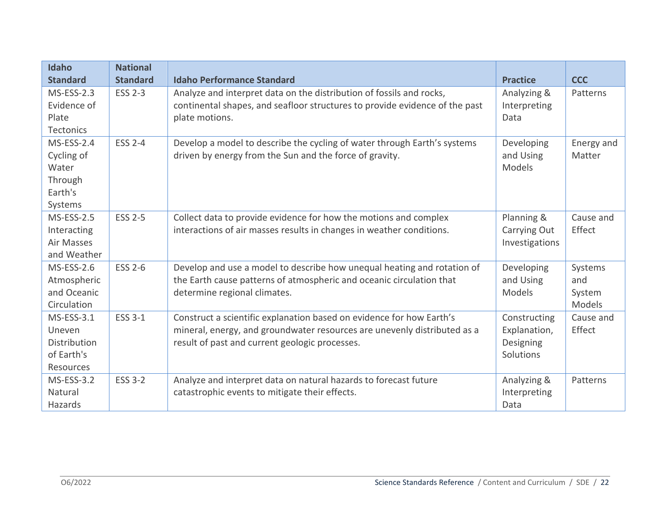| Idaho<br><b>Standard</b>                                                  | <b>National</b><br><b>Standard</b> | <b>Idaho Performance Standard</b>                                                                                                                                                                  | <b>Practice</b>                                        | <b>CCC</b>                         |
|---------------------------------------------------------------------------|------------------------------------|----------------------------------------------------------------------------------------------------------------------------------------------------------------------------------------------------|--------------------------------------------------------|------------------------------------|
| $MS-ESS-2.3$<br>Evidence of<br>Plate<br><b>Tectonics</b>                  | <b>ESS 2-3</b>                     | Analyze and interpret data on the distribution of fossils and rocks,<br>continental shapes, and seafloor structures to provide evidence of the past<br>plate motions.                              | Analyzing &<br>Interpreting<br>Data                    | Patterns                           |
| <b>MS-ESS-2.4</b><br>Cycling of<br>Water<br>Through<br>Earth's<br>Systems | <b>ESS 2-4</b>                     | Develop a model to describe the cycling of water through Earth's systems<br>driven by energy from the Sun and the force of gravity.                                                                | Developing<br>and Using<br><b>Models</b>               | Energy and<br>Matter               |
| <b>MS-ESS-2.5</b><br>Interacting<br>Air Masses<br>and Weather             | <b>ESS 2-5</b>                     | Collect data to provide evidence for how the motions and complex<br>interactions of air masses results in changes in weather conditions.                                                           | Planning &<br>Carrying Out<br>Investigations           | Cause and<br>Effect                |
| <b>MS-ESS-2.6</b><br>Atmospheric<br>and Oceanic<br>Circulation            | <b>ESS 2-6</b>                     | Develop and use a model to describe how unequal heating and rotation of<br>the Earth cause patterns of atmospheric and oceanic circulation that<br>determine regional climates.                    | Developing<br>and Using<br>Models                      | Systems<br>and<br>System<br>Models |
| $MS-ESS-3.1$<br>Uneven<br>Distribution<br>of Earth's<br>Resources         | <b>ESS 3-1</b>                     | Construct a scientific explanation based on evidence for how Earth's<br>mineral, energy, and groundwater resources are unevenly distributed as a<br>result of past and current geologic processes. | Constructing<br>Explanation,<br>Designing<br>Solutions | Cause and<br>Effect                |
| <b>MS-ESS-3.2</b><br>Natural<br>Hazards                                   | <b>ESS 3-2</b>                     | Analyze and interpret data on natural hazards to forecast future<br>catastrophic events to mitigate their effects.                                                                                 | Analyzing &<br>Interpreting<br>Data                    | Patterns                           |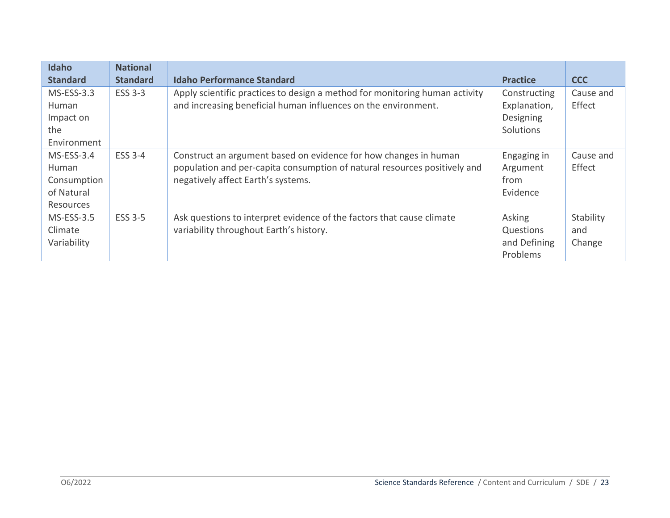| Idaho           | <b>National</b> |                                                                             |                 |            |
|-----------------|-----------------|-----------------------------------------------------------------------------|-----------------|------------|
| <b>Standard</b> | <b>Standard</b> | <b>Idaho Performance Standard</b>                                           | <b>Practice</b> | <b>CCC</b> |
| MS-ESS-3.3      | <b>ESS 3-3</b>  | Apply scientific practices to design a method for monitoring human activity | Constructing    | Cause and  |
| <b>Human</b>    |                 | and increasing beneficial human influences on the environment.              | Explanation,    | Effect     |
| Impact on       |                 |                                                                             | Designing       |            |
| the             |                 |                                                                             | Solutions       |            |
| Environment     |                 |                                                                             |                 |            |
| $MS-ESS-3.4$    | <b>ESS 3-4</b>  | Construct an argument based on evidence for how changes in human            | Engaging in     | Cause and  |
| Human           |                 | population and per-capita consumption of natural resources positively and   | Argument        | Effect     |
| Consumption     |                 | negatively affect Earth's systems.                                          | from            |            |
| of Natural      |                 |                                                                             | Evidence        |            |
| Resources       |                 |                                                                             |                 |            |
| $MS-ESS-3.5$    | <b>ESS 3-5</b>  | Ask questions to interpret evidence of the factors that cause climate       | Asking          | Stability  |
| Climate         |                 | variability throughout Earth's history.                                     | Questions       | and        |
| Variability     |                 |                                                                             | and Defining    | Change     |
|                 |                 |                                                                             | Problems        |            |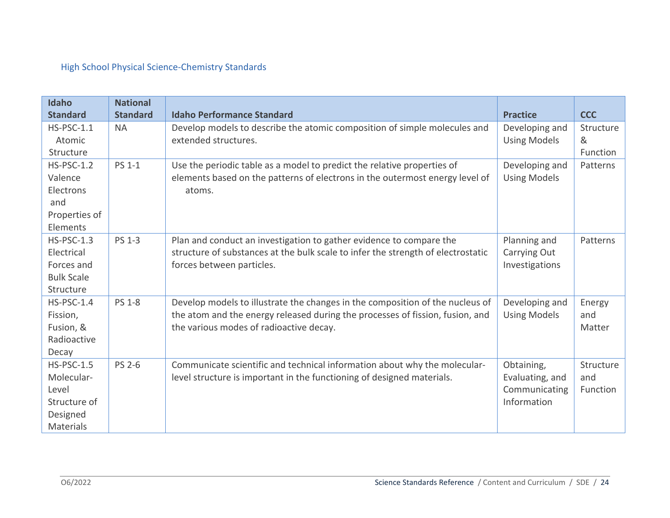# High School Physical Science-Chemistry Standards

| Idaho                           | <b>National</b><br><b>Standard</b> | <b>Idaho Performance Standard</b>                                                                 |                     |                |
|---------------------------------|------------------------------------|---------------------------------------------------------------------------------------------------|---------------------|----------------|
| <b>Standard</b><br>$HS-PSC-1.1$ | <b>NA</b>                          |                                                                                                   | <b>Practice</b>     | <b>CCC</b>     |
| Atomic                          |                                    | Develop models to describe the atomic composition of simple molecules and<br>extended structures. | Developing and      | Structure<br>& |
| Structure                       |                                    |                                                                                                   | <b>Using Models</b> | Function       |
| <b>HS-PSC-1.2</b>               | <b>PS 1-1</b>                      | Use the periodic table as a model to predict the relative properties of                           | Developing and      | Patterns       |
| Valence                         |                                    | elements based on the patterns of electrons in the outermost energy level of                      | <b>Using Models</b> |                |
| Electrons                       |                                    | atoms.                                                                                            |                     |                |
| and                             |                                    |                                                                                                   |                     |                |
| Properties of                   |                                    |                                                                                                   |                     |                |
| Elements                        |                                    |                                                                                                   |                     |                |
| $HS-PSC-1.3$                    | <b>PS 1-3</b>                      | Plan and conduct an investigation to gather evidence to compare the                               | Planning and        | Patterns       |
| Electrical                      |                                    | structure of substances at the bulk scale to infer the strength of electrostatic                  | Carrying Out        |                |
| Forces and                      |                                    | forces between particles.                                                                         | Investigations      |                |
| <b>Bulk Scale</b>               |                                    |                                                                                                   |                     |                |
| Structure                       |                                    |                                                                                                   |                     |                |
| $HS-PSC-1.4$                    | <b>PS 1-8</b>                      | Develop models to illustrate the changes in the composition of the nucleus of                     | Developing and      | Energy         |
| Fission,                        |                                    | the atom and the energy released during the processes of fission, fusion, and                     | <b>Using Models</b> | and            |
| Fusion, &                       |                                    | the various modes of radioactive decay.                                                           |                     | Matter         |
| Radioactive                     |                                    |                                                                                                   |                     |                |
| Decay                           |                                    |                                                                                                   |                     |                |
| <b>HS-PSC-1.5</b>               | <b>PS 2-6</b>                      | Communicate scientific and technical information about why the molecular-                         | Obtaining,          | Structure      |
| Molecular-                      |                                    | level structure is important in the functioning of designed materials.                            | Evaluating, and     | and            |
| Level                           |                                    |                                                                                                   | Communicating       | Function       |
| Structure of                    |                                    |                                                                                                   | Information         |                |
|                                 |                                    |                                                                                                   |                     |                |
| Designed<br>Materials           |                                    |                                                                                                   |                     |                |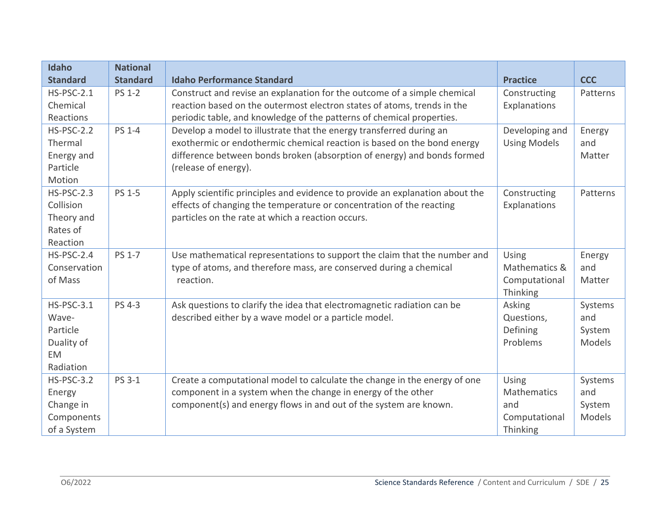| <b>Idaho</b>      | <b>National</b> |                                                                              |                      |                         |
|-------------------|-----------------|------------------------------------------------------------------------------|----------------------|-------------------------|
| <b>Standard</b>   | <b>Standard</b> | <b>Idaho Performance Standard</b>                                            | <b>Practice</b>      | <b>CCC</b>              |
| $HS-PSC-2.1$      | <b>PS 1-2</b>   | Construct and revise an explanation for the outcome of a simple chemical     | Constructing         | Patterns                |
| Chemical          |                 | reaction based on the outermost electron states of atoms, trends in the      | Explanations         |                         |
| Reactions         |                 | periodic table, and knowledge of the patterns of chemical properties.        |                      |                         |
| <b>HS-PSC-2.2</b> | <b>PS 1-4</b>   | Develop a model to illustrate that the energy transferred during an          | Developing and       | Energy                  |
| Thermal           |                 | exothermic or endothermic chemical reaction is based on the bond energy      | <b>Using Models</b>  | and                     |
| Energy and        |                 | difference between bonds broken (absorption of energy) and bonds formed      |                      | Matter                  |
| Particle          |                 | (release of energy).                                                         |                      |                         |
| Motion            |                 |                                                                              |                      |                         |
| $HS-PSC-2.3$      | <b>PS 1-5</b>   | Apply scientific principles and evidence to provide an explanation about the | Constructing         | Patterns                |
| Collision         |                 | effects of changing the temperature or concentration of the reacting         | Explanations         |                         |
| Theory and        |                 | particles on the rate at which a reaction occurs.                            |                      |                         |
| Rates of          |                 |                                                                              |                      |                         |
| Reaction          |                 |                                                                              |                      |                         |
| <b>HS-PSC-2.4</b> | <b>PS 1-7</b>   | Use mathematical representations to support the claim that the number and    | Using                | Energy                  |
| Conservation      |                 | type of atoms, and therefore mass, are conserved during a chemical           | Mathematics &        | and                     |
| of Mass           |                 | reaction.                                                                    | Computational        | Matter                  |
|                   |                 |                                                                              | Thinking             |                         |
| $HS-PSC-3.1$      | <b>PS 4-3</b>   | Ask questions to clarify the idea that electromagnetic radiation can be      | Asking               | Systems                 |
| Wave-<br>Particle |                 | described either by a wave model or a particle model.                        | Questions,           | and                     |
| Duality of        |                 |                                                                              | Defining<br>Problems | System<br><b>Models</b> |
| <b>EM</b>         |                 |                                                                              |                      |                         |
| Radiation         |                 |                                                                              |                      |                         |
| <b>HS-PSC-3.2</b> | PS 3-1          | Create a computational model to calculate the change in the energy of one    | Using                | Systems                 |
| Energy            |                 | component in a system when the change in energy of the other                 | Mathematics          | and                     |
| Change in         |                 | component(s) and energy flows in and out of the system are known.            | and                  | System                  |
| Components        |                 |                                                                              | Computational        | Models                  |
| of a System       |                 |                                                                              | Thinking             |                         |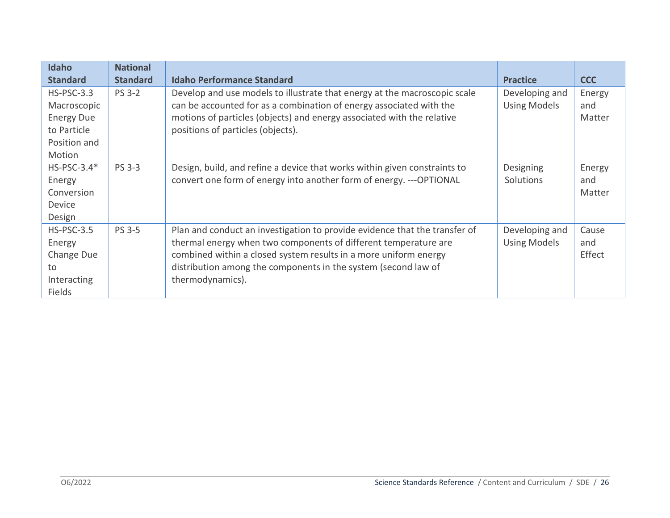| Idaho<br><b>Standard</b>                                                                  | <b>National</b><br><b>Standard</b> | <b>Idaho Performance Standard</b>                                                                                                                                                                                                                                                                       | <b>Practice</b>                       | <b>CCC</b>              |
|-------------------------------------------------------------------------------------------|------------------------------------|---------------------------------------------------------------------------------------------------------------------------------------------------------------------------------------------------------------------------------------------------------------------------------------------------------|---------------------------------------|-------------------------|
| $HS-PSC-3.3$<br>Macroscopic<br><b>Energy Due</b><br>to Particle<br>Position and<br>Motion | <b>PS 3-2</b>                      | Develop and use models to illustrate that energy at the macroscopic scale<br>can be accounted for as a combination of energy associated with the<br>motions of particles (objects) and energy associated with the relative<br>positions of particles (objects).                                         | Developing and<br><b>Using Models</b> | Energy<br>and<br>Matter |
| $HS-PSC-3.4*$<br>Energy<br>Conversion<br>Device<br>Design                                 | <b>PS 3-3</b>                      | Design, build, and refine a device that works within given constraints to<br>convert one form of energy into another form of energy. --- OPTIONAL                                                                                                                                                       | Designing<br>Solutions                | Energy<br>and<br>Matter |
| <b>HS-PSC-3.5</b><br>Energy<br>Change Due<br>to<br>Interacting<br>Fields                  | <b>PS 3-5</b>                      | Plan and conduct an investigation to provide evidence that the transfer of<br>thermal energy when two components of different temperature are<br>combined within a closed system results in a more uniform energy<br>distribution among the components in the system (second law of<br>thermodynamics). | Developing and<br><b>Using Models</b> | Cause<br>and<br>Effect  |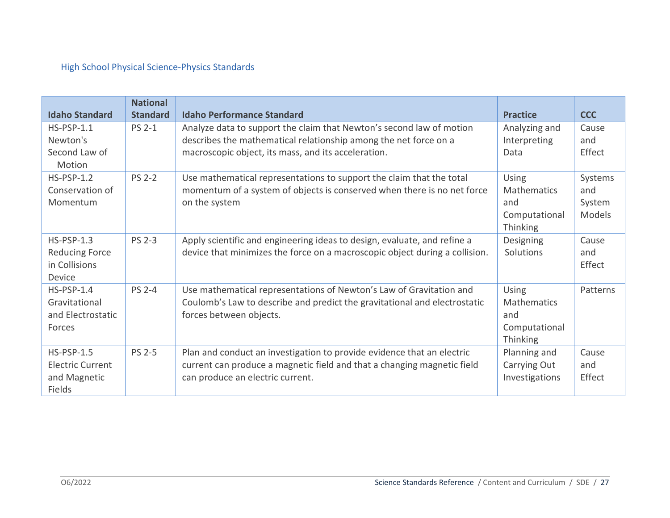# High School Physical Science-Physics Standards

| <b>Idaho Standard</b>   | <b>National</b><br><b>Standard</b> | <b>Idaho Performance Standard</b>                                           | <b>Practice</b> | <b>CCC</b> |
|-------------------------|------------------------------------|-----------------------------------------------------------------------------|-----------------|------------|
| $HS-PSP-1.1$            | <b>PS 2-1</b>                      |                                                                             |                 |            |
|                         |                                    | Analyze data to support the claim that Newton's second law of motion        | Analyzing and   | Cause      |
| Newton's                |                                    | describes the mathematical relationship among the net force on a            | Interpreting    | and        |
| Second Law of           |                                    | macroscopic object, its mass, and its acceleration.                         | Data            | Effect     |
| Motion                  |                                    |                                                                             |                 |            |
| $HS-PSP-1.2$            | <b>PS 2-2</b>                      | Use mathematical representations to support the claim that the total        | <b>Using</b>    | Systems    |
| Conservation of         |                                    | momentum of a system of objects is conserved when there is no net force     | Mathematics     | and        |
| Momentum                |                                    | on the system                                                               | and             | System     |
|                         |                                    |                                                                             | Computational   | Models     |
|                         |                                    |                                                                             | Thinking        |            |
| $HS-PSP-1.3$            | <b>PS 2-3</b>                      | Apply scientific and engineering ideas to design, evaluate, and refine a    | Designing       | Cause      |
| <b>Reducing Force</b>   |                                    | device that minimizes the force on a macroscopic object during a collision. | Solutions       | and        |
| in Collisions           |                                    |                                                                             |                 | Effect     |
| Device                  |                                    |                                                                             |                 |            |
| $HS-PSP-1.4$            | <b>PS 2-4</b>                      | Use mathematical representations of Newton's Law of Gravitation and         | <b>Using</b>    | Patterns   |
| Gravitational           |                                    | Coulomb's Law to describe and predict the gravitational and electrostatic   | Mathematics     |            |
| and Electrostatic       |                                    | forces between objects.                                                     | and             |            |
| Forces                  |                                    |                                                                             | Computational   |            |
|                         |                                    |                                                                             |                 |            |
|                         |                                    |                                                                             | Thinking        |            |
| $HS-PSP-1.5$            | <b>PS 2-5</b>                      | Plan and conduct an investigation to provide evidence that an electric      | Planning and    | Cause      |
| <b>Electric Current</b> |                                    | current can produce a magnetic field and that a changing magnetic field     | Carrying Out    | and        |
| and Magnetic            |                                    | can produce an electric current.                                            | Investigations  | Effect     |
| <b>Fields</b>           |                                    |                                                                             |                 |            |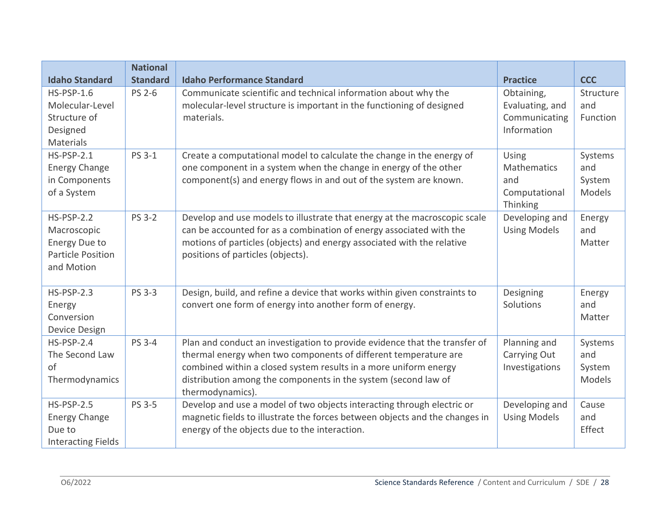|                                                                                                               | <b>National</b>                  |                                                                                                                                                                                                                                                                                                         |                                                                                  |                                            |
|---------------------------------------------------------------------------------------------------------------|----------------------------------|---------------------------------------------------------------------------------------------------------------------------------------------------------------------------------------------------------------------------------------------------------------------------------------------------------|----------------------------------------------------------------------------------|--------------------------------------------|
| <b>Idaho Standard</b><br><b>HS-PSP-1.6</b><br>Molecular-Level<br>Structure of<br>Designed<br><b>Materials</b> | <b>Standard</b><br><b>PS 2-6</b> | <b>Idaho Performance Standard</b><br>Communicate scientific and technical information about why the<br>molecular-level structure is important in the functioning of designed<br>materials.                                                                                                              | <b>Practice</b><br>Obtaining,<br>Evaluating, and<br>Communicating<br>Information | <b>CCC</b><br>Structure<br>and<br>Function |
| <b>HS-PSP-2.1</b><br><b>Energy Change</b><br>in Components<br>of a System                                     | <b>PS 3-1</b>                    | Create a computational model to calculate the change in the energy of<br>one component in a system when the change in energy of the other<br>component(s) and energy flows in and out of the system are known.                                                                                          | Using<br>Mathematics<br>and<br>Computational<br>Thinking                         | Systems<br>and<br>System<br>Models         |
| $HS-PSP-2.2$<br>Macroscopic<br><b>Energy Due to</b><br><b>Particle Position</b><br>and Motion                 | <b>PS 3-2</b>                    | Develop and use models to illustrate that energy at the macroscopic scale<br>can be accounted for as a combination of energy associated with the<br>motions of particles (objects) and energy associated with the relative<br>positions of particles (objects).                                         | Developing and<br><b>Using Models</b>                                            | Energy<br>and<br>Matter                    |
| <b>HS-PSP-2.3</b><br>Energy<br>Conversion<br>Device Design                                                    | <b>PS 3-3</b>                    | Design, build, and refine a device that works within given constraints to<br>convert one form of energy into another form of energy.                                                                                                                                                                    | Designing<br>Solutions                                                           | Energy<br>and<br>Matter                    |
| $HS-PSP-2.4$<br>The Second Law<br>of<br>Thermodynamics                                                        | <b>PS 3-4</b>                    | Plan and conduct an investigation to provide evidence that the transfer of<br>thermal energy when two components of different temperature are<br>combined within a closed system results in a more uniform energy<br>distribution among the components in the system (second law of<br>thermodynamics). | Planning and<br>Carrying Out<br>Investigations                                   | Systems<br>and<br>System<br>Models         |
| <b>HS-PSP-2.5</b><br><b>Energy Change</b><br>Due to<br><b>Interacting Fields</b>                              | <b>PS 3-5</b>                    | Develop and use a model of two objects interacting through electric or<br>magnetic fields to illustrate the forces between objects and the changes in<br>energy of the objects due to the interaction.                                                                                                  | Developing and<br><b>Using Models</b>                                            | Cause<br>and<br>Effect                     |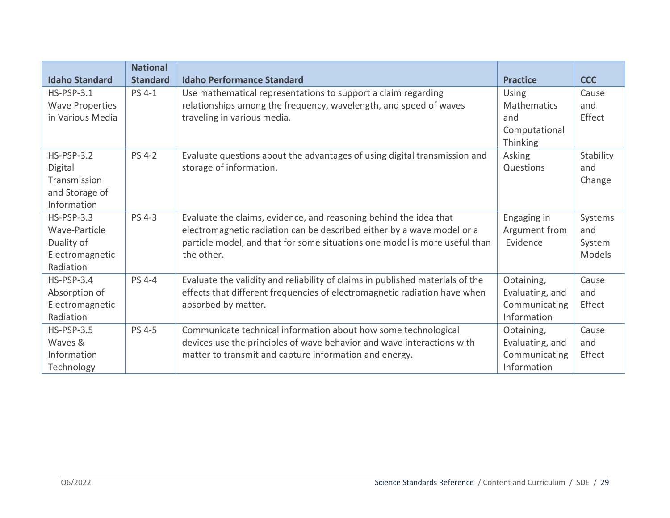|                        | <b>National</b> |                                                                               |                 |               |
|------------------------|-----------------|-------------------------------------------------------------------------------|-----------------|---------------|
| <b>Idaho Standard</b>  | <b>Standard</b> | <b>Idaho Performance Standard</b>                                             | <b>Practice</b> | <b>CCC</b>    |
| $HS-PSP-3.1$           | <b>PS 4-1</b>   | Use mathematical representations to support a claim regarding                 | Using           | Cause         |
| <b>Wave Properties</b> |                 | relationships among the frequency, wavelength, and speed of waves             | Mathematics     | and           |
| in Various Media       |                 | traveling in various media.                                                   | and             | Effect        |
|                        |                 |                                                                               | Computational   |               |
|                        |                 |                                                                               | Thinking        |               |
| $HS-PSP-3.2$           | <b>PS 4-2</b>   | Evaluate questions about the advantages of using digital transmission and     | Asking          | Stability     |
| Digital                |                 | storage of information.                                                       | Questions       | and           |
| Transmission           |                 |                                                                               |                 | Change        |
| and Storage of         |                 |                                                                               |                 |               |
| Information            |                 |                                                                               |                 |               |
| $HS-PSP-3.3$           | <b>PS 4-3</b>   | Evaluate the claims, evidence, and reasoning behind the idea that             | Engaging in     | Systems       |
| Wave-Particle          |                 | electromagnetic radiation can be described either by a wave model or a        | Argument from   | and           |
| Duality of             |                 | particle model, and that for some situations one model is more useful than    | Evidence        | System        |
| Electromagnetic        |                 | the other.                                                                    |                 | <b>Models</b> |
| Radiation              |                 |                                                                               |                 |               |
| $HS-PSP-3.4$           | <b>PS 4-4</b>   | Evaluate the validity and reliability of claims in published materials of the | Obtaining,      | Cause         |
| Absorption of          |                 | effects that different frequencies of electromagnetic radiation have when     | Evaluating, and | and           |
| Electromagnetic        |                 | absorbed by matter.                                                           | Communicating   | Effect        |
| Radiation              |                 |                                                                               | Information     |               |
| $HS-PSP-3.5$           | <b>PS 4-5</b>   | Communicate technical information about how some technological                | Obtaining,      | Cause         |
| Waves &                |                 | devices use the principles of wave behavior and wave interactions with        | Evaluating, and | and           |
| Information            |                 | matter to transmit and capture information and energy.                        | Communicating   | Effect        |
| Technology             |                 |                                                                               | Information     |               |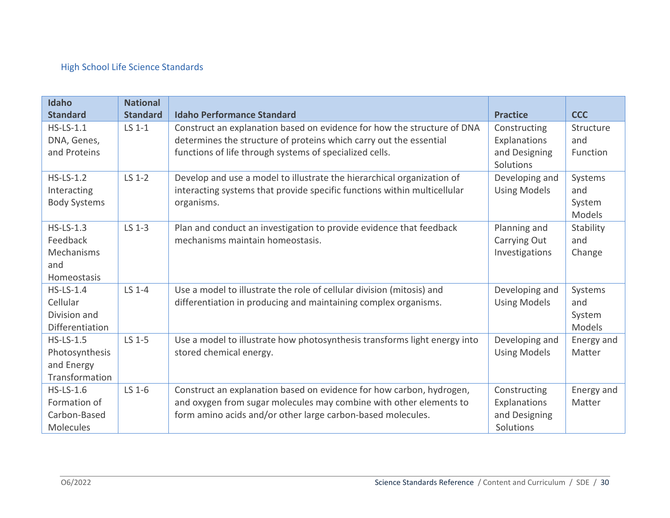# High School Life Science Standards

| Idaho               | <b>National</b> |                                                                           |                     |            |
|---------------------|-----------------|---------------------------------------------------------------------------|---------------------|------------|
| <b>Standard</b>     | <b>Standard</b> | <b>Idaho Performance Standard</b>                                         | <b>Practice</b>     | <b>CCC</b> |
| $HS$ -LS-1.1        | LS 1-1          | Construct an explanation based on evidence for how the structure of DNA   | Constructing        | Structure  |
| DNA, Genes,         |                 | determines the structure of proteins which carry out the essential        | Explanations        | and        |
| and Proteins        |                 | functions of life through systems of specialized cells.                   | and Designing       | Function   |
|                     |                 |                                                                           | Solutions           |            |
| $HS$ -LS-1.2        | LS 1-2          | Develop and use a model to illustrate the hierarchical organization of    | Developing and      | Systems    |
| Interacting         |                 | interacting systems that provide specific functions within multicellular  | <b>Using Models</b> | and        |
| <b>Body Systems</b> |                 | organisms.                                                                |                     | System     |
|                     |                 |                                                                           |                     | Models     |
| $HS$ -LS-1.3        | LS 1-3          | Plan and conduct an investigation to provide evidence that feedback       | Planning and        | Stability  |
| Feedback            |                 | mechanisms maintain homeostasis.                                          | Carrying Out        | and        |
| Mechanisms          |                 |                                                                           | Investigations      | Change     |
| and                 |                 |                                                                           |                     |            |
| Homeostasis         |                 |                                                                           |                     |            |
| $HS$ -LS-1.4        | LS 1-4          | Use a model to illustrate the role of cellular division (mitosis) and     | Developing and      | Systems    |
| Cellular            |                 | differentiation in producing and maintaining complex organisms.           | <b>Using Models</b> | and        |
| Division and        |                 |                                                                           |                     | System     |
| Differentiation     |                 |                                                                           |                     | Models     |
| $HS$ -LS-1.5        | LS 1-5          | Use a model to illustrate how photosynthesis transforms light energy into | Developing and      | Energy and |
| Photosynthesis      |                 | stored chemical energy.                                                   | <b>Using Models</b> | Matter     |
| and Energy          |                 |                                                                           |                     |            |
| Transformation      |                 |                                                                           |                     |            |
| $HS$ -LS-1.6        | LS 1-6          | Construct an explanation based on evidence for how carbon, hydrogen,      | Constructing        | Energy and |
| Formation of        |                 | and oxygen from sugar molecules may combine with other elements to        | Explanations        | Matter     |
| Carbon-Based        |                 | form amino acids and/or other large carbon-based molecules.               | and Designing       |            |
| Molecules           |                 |                                                                           | Solutions           |            |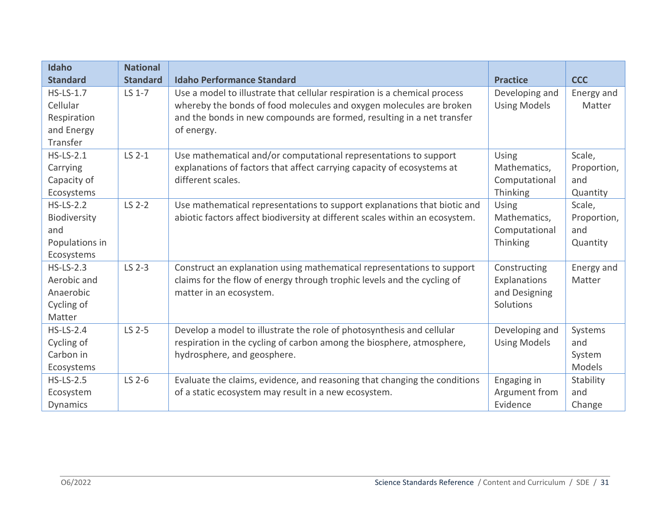| Idaho            | <b>National</b> |                                                                              |                     |             |
|------------------|-----------------|------------------------------------------------------------------------------|---------------------|-------------|
| <b>Standard</b>  | <b>Standard</b> | <b>Idaho Performance Standard</b>                                            | <b>Practice</b>     | <b>CCC</b>  |
| $HS$ -LS-1.7     | LS 1-7          | Use a model to illustrate that cellular respiration is a chemical process    | Developing and      | Energy and  |
| Cellular         |                 | whereby the bonds of food molecules and oxygen molecules are broken          | <b>Using Models</b> | Matter      |
| Respiration      |                 | and the bonds in new compounds are formed, resulting in a net transfer       |                     |             |
| and Energy       |                 | of energy.                                                                   |                     |             |
| Transfer         |                 |                                                                              |                     |             |
| $HS$ -LS-2.1     | $LS$ 2-1        | Use mathematical and/or computational representations to support             | Using               | Scale,      |
| Carrying         |                 | explanations of factors that affect carrying capacity of ecosystems at       | Mathematics,        | Proportion, |
| Capacity of      |                 | different scales.                                                            | Computational       | and         |
| Ecosystems       |                 |                                                                              | Thinking            | Quantity    |
| $HS$ -LS-2.2     | LS 2-2          | Use mathematical representations to support explanations that biotic and     | Using               | Scale,      |
| Biodiversity     |                 | abiotic factors affect biodiversity at different scales within an ecosystem. | Mathematics,        | Proportion, |
| and              |                 |                                                                              | Computational       | and         |
| Populations in   |                 |                                                                              | Thinking            | Quantity    |
| Ecosystems       |                 |                                                                              |                     |             |
| $HS$ -LS-2.3     | LS 2-3          | Construct an explanation using mathematical representations to support       | Constructing        | Energy and  |
| Aerobic and      |                 | claims for the flow of energy through trophic levels and the cycling of      | Explanations        | Matter      |
| Anaerobic        |                 | matter in an ecosystem.                                                      | and Designing       |             |
| Cycling of       |                 |                                                                              | Solutions           |             |
| Matter           |                 |                                                                              |                     |             |
| $HS$ -LS-2.4     | LS 2-5          | Develop a model to illustrate the role of photosynthesis and cellular        | Developing and      | Systems     |
| Cycling of       |                 | respiration in the cycling of carbon among the biosphere, atmosphere,        | <b>Using Models</b> | and         |
| Carbon in        |                 | hydrosphere, and geosphere.                                                  |                     | System      |
| Ecosystems       |                 |                                                                              |                     | Models      |
| <b>HS-LS-2.5</b> | LS 2-6          | Evaluate the claims, evidence, and reasoning that changing the conditions    | Engaging in         | Stability   |
| Ecosystem        |                 | of a static ecosystem may result in a new ecosystem.                         | Argument from       | and         |
| Dynamics         |                 |                                                                              | Evidence            | Change      |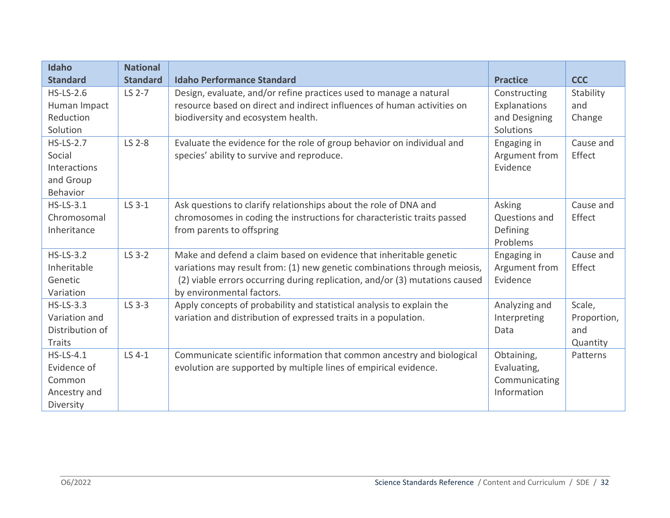| <b>Idaho</b>     | <b>National</b> |                                                                             |                 |             |
|------------------|-----------------|-----------------------------------------------------------------------------|-----------------|-------------|
| <b>Standard</b>  | <b>Standard</b> | <b>Idaho Performance Standard</b>                                           | <b>Practice</b> | <b>CCC</b>  |
| $HS$ -LS-2.6     | LS 2-7          | Design, evaluate, and/or refine practices used to manage a natural          | Constructing    | Stability   |
| Human Impact     |                 | resource based on direct and indirect influences of human activities on     | Explanations    | and         |
| Reduction        |                 | biodiversity and ecosystem health.                                          | and Designing   | Change      |
| Solution         |                 |                                                                             | Solutions       |             |
| <b>HS-LS-2.7</b> | LS 2-8          | Evaluate the evidence for the role of group behavior on individual and      | Engaging in     | Cause and   |
| Social           |                 | species' ability to survive and reproduce.                                  | Argument from   | Effect      |
| Interactions     |                 |                                                                             | Evidence        |             |
| and Group        |                 |                                                                             |                 |             |
| Behavior         |                 |                                                                             |                 |             |
| $HS$ -LS-3.1     | LS 3-1          | Ask questions to clarify relationships about the role of DNA and            | Asking          | Cause and   |
| Chromosomal      |                 | chromosomes in coding the instructions for characteristic traits passed     | Questions and   | Effect      |
| Inheritance      |                 | from parents to offspring                                                   | Defining        |             |
|                  |                 |                                                                             | Problems        |             |
| <b>HS-LS-3.2</b> | LS 3-2          | Make and defend a claim based on evidence that inheritable genetic          | Engaging in     | Cause and   |
| Inheritable      |                 | variations may result from: (1) new genetic combinations through meiosis,   | Argument from   | Effect      |
| Genetic          |                 | (2) viable errors occurring during replication, and/or (3) mutations caused | Evidence        |             |
| Variation        |                 | by environmental factors.                                                   |                 |             |
| <b>HS-LS-3.3</b> | LS 3-3          | Apply concepts of probability and statistical analysis to explain the       | Analyzing and   | Scale,      |
| Variation and    |                 | variation and distribution of expressed traits in a population.             | Interpreting    | Proportion, |
| Distribution of  |                 |                                                                             | Data            | and         |
| <b>Traits</b>    |                 |                                                                             |                 | Quantity    |
| $HS$ -LS-4.1     | LS 4-1          | Communicate scientific information that common ancestry and biological      | Obtaining,      | Patterns    |
| Evidence of      |                 | evolution are supported by multiple lines of empirical evidence.            | Evaluating,     |             |
| Common           |                 |                                                                             | Communicating   |             |
| Ancestry and     |                 |                                                                             | Information     |             |
| Diversity        |                 |                                                                             |                 |             |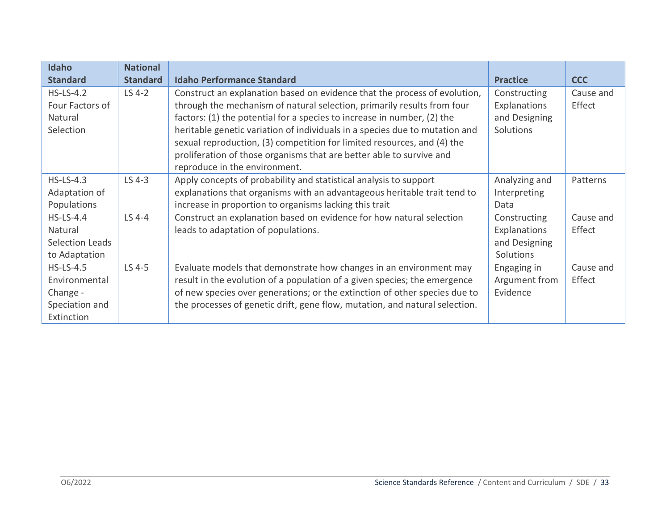| Idaho                  | <b>National</b> |                                                                             |                 |            |
|------------------------|-----------------|-----------------------------------------------------------------------------|-----------------|------------|
| <b>Standard</b>        | <b>Standard</b> | <b>Idaho Performance Standard</b>                                           | <b>Practice</b> | <b>CCC</b> |
| $HS$ -LS-4.2           | LS 4-2          | Construct an explanation based on evidence that the process of evolution,   | Constructing    | Cause and  |
| Four Factors of        |                 | through the mechanism of natural selection, primarily results from four     | Explanations    | Effect     |
| Natural                |                 | factors: (1) the potential for a species to increase in number, (2) the     | and Designing   |            |
| Selection              |                 | heritable genetic variation of individuals in a species due to mutation and | Solutions       |            |
|                        |                 | sexual reproduction, (3) competition for limited resources, and (4) the     |                 |            |
|                        |                 | proliferation of those organisms that are better able to survive and        |                 |            |
|                        |                 | reproduce in the environment.                                               |                 |            |
| $HS$ -LS-4.3           | LS 4-3          | Apply concepts of probability and statistical analysis to support           | Analyzing and   | Patterns   |
| Adaptation of          |                 | explanations that organisms with an advantageous heritable trait tend to    | Interpreting    |            |
| Populations            |                 | increase in proportion to organisms lacking this trait                      | Data            |            |
| $HS$ -LS-4.4           | LS 4-4          | Construct an explanation based on evidence for how natural selection        | Constructing    | Cause and  |
| Natural                |                 | leads to adaptation of populations.                                         | Explanations    | Effect     |
| <b>Selection Leads</b> |                 |                                                                             | and Designing   |            |
| to Adaptation          |                 |                                                                             | Solutions       |            |
| $HS$ -LS-4.5           | LS 4-5          | Evaluate models that demonstrate how changes in an environment may          | Engaging in     | Cause and  |
| Environmental          |                 | result in the evolution of a population of a given species; the emergence   | Argument from   | Effect     |
| Change -               |                 | of new species over generations; or the extinction of other species due to  | Evidence        |            |
| Speciation and         |                 | the processes of genetic drift, gene flow, mutation, and natural selection. |                 |            |
| Extinction             |                 |                                                                             |                 |            |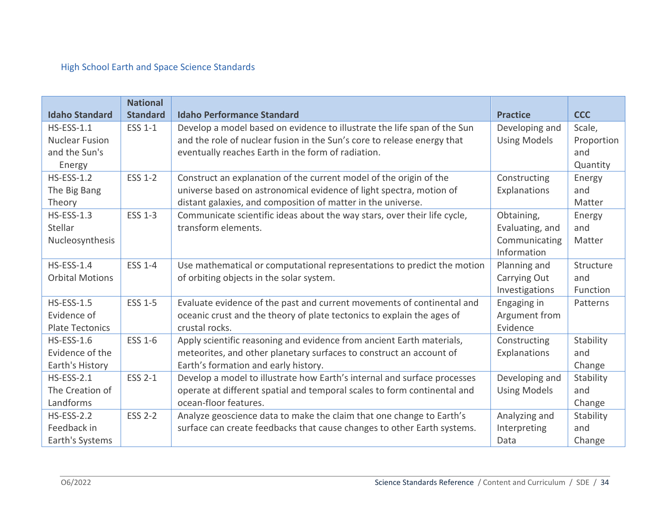# High School Earth and Space Science Standards

|                        | <b>National</b> |                                                                          |                     |            |
|------------------------|-----------------|--------------------------------------------------------------------------|---------------------|------------|
| <b>Idaho Standard</b>  | <b>Standard</b> | <b>Idaho Performance Standard</b>                                        | <b>Practice</b>     | <b>CCC</b> |
| <b>HS-ESS-1.1</b>      | <b>ESS 1-1</b>  | Develop a model based on evidence to illustrate the life span of the Sun | Developing and      | Scale,     |
| <b>Nuclear Fusion</b>  |                 | and the role of nuclear fusion in the Sun's core to release energy that  | <b>Using Models</b> | Proportion |
| and the Sun's          |                 | eventually reaches Earth in the form of radiation.                       |                     | and        |
| Energy                 |                 |                                                                          |                     | Quantity   |
| <b>HS-ESS-1.2</b>      | ESS 1-2         | Construct an explanation of the current model of the origin of the       | Constructing        | Energy     |
| The Big Bang           |                 | universe based on astronomical evidence of light spectra, motion of      | Explanations        | and        |
| Theory                 |                 | distant galaxies, and composition of matter in the universe.             |                     | Matter     |
| <b>HS-ESS-1.3</b>      | <b>ESS 1-3</b>  | Communicate scientific ideas about the way stars, over their life cycle, | Obtaining,          | Energy     |
| Stellar                |                 | transform elements.                                                      | Evaluating, and     | and        |
| Nucleosynthesis        |                 |                                                                          | Communicating       | Matter     |
|                        |                 |                                                                          | Information         |            |
| <b>HS-ESS-1.4</b>      | <b>ESS 1-4</b>  | Use mathematical or computational representations to predict the motion  | Planning and        | Structure  |
| <b>Orbital Motions</b> |                 | of orbiting objects in the solar system.                                 | Carrying Out        | and        |
|                        |                 |                                                                          | Investigations      | Function   |
| <b>HS-ESS-1.5</b>      | <b>ESS 1-5</b>  | Evaluate evidence of the past and current movements of continental and   | Engaging in         | Patterns   |
| Evidence of            |                 | oceanic crust and the theory of plate tectonics to explain the ages of   | Argument from       |            |
| <b>Plate Tectonics</b> |                 | crustal rocks.                                                           | Evidence            |            |
| <b>HS-ESS-1.6</b>      | <b>ESS 1-6</b>  | Apply scientific reasoning and evidence from ancient Earth materials,    | Constructing        | Stability  |
| Evidence of the        |                 | meteorites, and other planetary surfaces to construct an account of      | Explanations        | and        |
| Earth's History        |                 | Earth's formation and early history.                                     |                     | Change     |
| $HS-ESS-2.1$           | <b>ESS 2-1</b>  | Develop a model to illustrate how Earth's internal and surface processes | Developing and      | Stability  |
| The Creation of        |                 | operate at different spatial and temporal scales to form continental and | <b>Using Models</b> | and        |
| Landforms              |                 | ocean-floor features.                                                    |                     | Change     |
| <b>HS-ESS-2.2</b>      | <b>ESS 2-2</b>  | Analyze geoscience data to make the claim that one change to Earth's     | Analyzing and       | Stability  |
| Feedback in            |                 | surface can create feedbacks that cause changes to other Earth systems.  | Interpreting        | and        |
| Earth's Systems        |                 |                                                                          | Data                | Change     |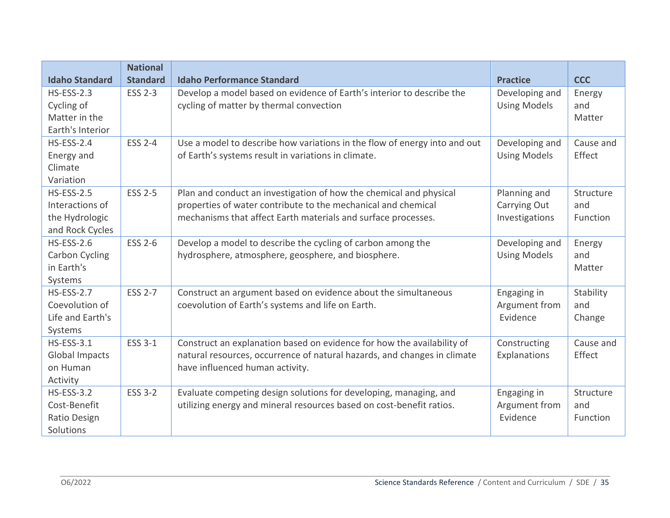| <b>Idaho Standard</b>                                                     | <b>National</b><br><b>Standard</b> | <b>Idaho Performance Standard</b>                                                                                                                                                                    | <b>Practice</b>                                | <b>CCC</b>                   |
|---------------------------------------------------------------------------|------------------------------------|------------------------------------------------------------------------------------------------------------------------------------------------------------------------------------------------------|------------------------------------------------|------------------------------|
| <b>HS-ESS-2.3</b><br>Cycling of<br>Matter in the<br>Earth's Interior      | <b>ESS 2-3</b>                     | Develop a model based on evidence of Earth's interior to describe the<br>cycling of matter by thermal convection                                                                                     | Developing and<br><b>Using Models</b>          | Energy<br>and<br>Matter      |
| <b>HS-ESS-2.4</b><br>Energy and<br>Climate<br>Variation                   | <b>ESS 2-4</b>                     | Use a model to describe how variations in the flow of energy into and out<br>of Earth's systems result in variations in climate.                                                                     | Developing and<br><b>Using Models</b>          | Cause and<br>Effect          |
| <b>HS-ESS-2.5</b><br>Interactions of<br>the Hydrologic<br>and Rock Cycles | <b>ESS 2-5</b>                     | Plan and conduct an investigation of how the chemical and physical<br>properties of water contribute to the mechanical and chemical<br>mechanisms that affect Earth materials and surface processes. | Planning and<br>Carrying Out<br>Investigations | Structure<br>and<br>Function |
| <b>HS-ESS-2.6</b><br><b>Carbon Cycling</b><br>in Earth's<br>Systems       | <b>ESS 2-6</b>                     | Develop a model to describe the cycling of carbon among the<br>hydrosphere, atmosphere, geosphere, and biosphere.                                                                                    | Developing and<br><b>Using Models</b>          | Energy<br>and<br>Matter      |
| <b>HS-ESS-2.7</b><br>Coevolution of<br>Life and Earth's<br>Systems        | <b>ESS 2-7</b>                     | Construct an argument based on evidence about the simultaneous<br>coevolution of Earth's systems and life on Earth.                                                                                  | Engaging in<br>Argument from<br>Evidence       | Stability<br>and<br>Change   |
| <b>HS-ESS-3.1</b><br><b>Global Impacts</b><br>on Human<br>Activity        | <b>ESS 3-1</b>                     | Construct an explanation based on evidence for how the availability of<br>natural resources, occurrence of natural hazards, and changes in climate<br>have influenced human activity.                | Constructing<br>Explanations                   | Cause and<br>Effect          |
| <b>HS-ESS-3.2</b><br>Cost-Benefit<br>Ratio Design<br>Solutions            | <b>ESS 3-2</b>                     | Evaluate competing design solutions for developing, managing, and<br>utilizing energy and mineral resources based on cost-benefit ratios.                                                            | Engaging in<br>Argument from<br>Evidence       | Structure<br>and<br>Function |